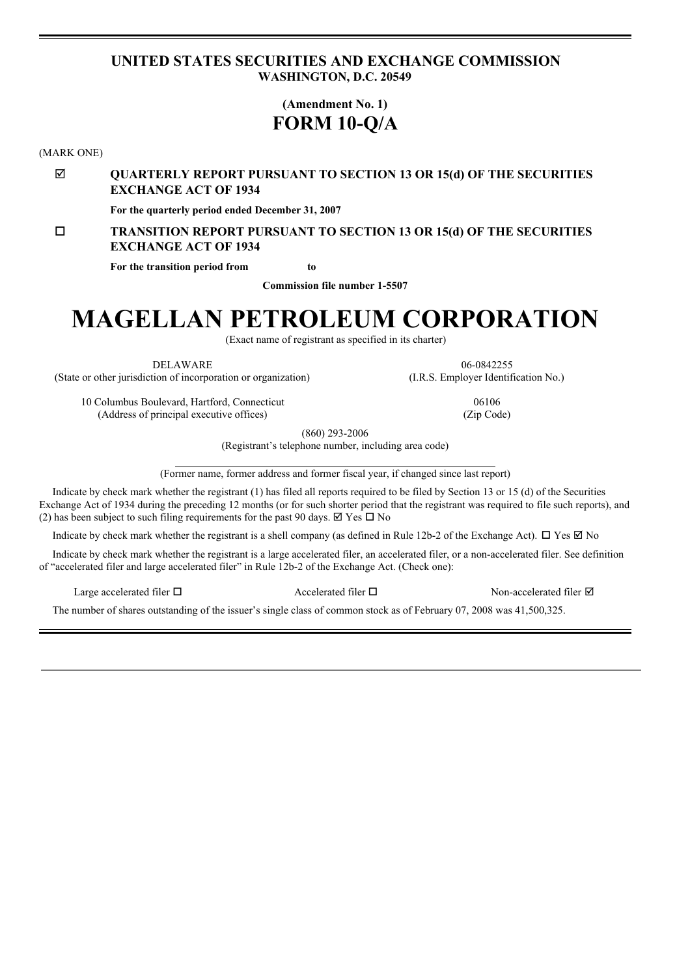# <span id="page-0-0"></span>**UNITED STATES SECURITIES AND EXCHANGE COMMISSION WASHINGTON, D.C. 20549**

# **(Amendment No. 1) FORM 10-Q/A**

(MARK ONE)

þ **QUARTERLY REPORT PURSUANT TO SECTION 13 OR 15(d) OF THE SECURITIES EXCHANGE ACT OF 1934**

**For the quarterly period ended December 31, 2007**

# o **TRANSITION REPORT PURSUANT TO SECTION 13 OR 15(d) OF THE SECURITIES EXCHANGE ACT OF 1934**

**For the transition period from to**

**Commission file number 1-5507**

# **MAGELLAN PETROLEUM CORPORATION**

(Exact name of registrant as specified in its charter)

DELAWARE 06-0842255 (State or other jurisdiction of incorporation or organization) (I.R.S. Employer Identification No.)

10 Columbus Boulevard, Hartford, Connecticut 06106 (Address of principal executive offices) (Zip Code)

(860) 293-2006

(Registrant's telephone number, including area code)

(Former name, former address and former fiscal year, if changed since last report)

Indicate by check mark whether the registrant (1) has filed all reports required to be filed by Section 13 or 15 (d) of the Securities Exchange Act of 1934 during the preceding 12 months (or for such shorter period that the registrant was required to file such reports), and (2) has been subject to such filing requirements for the past 90 days.  $\boxtimes$  Yes  $\Box$  No

Indicate by check mark whether the registrant is a shell company (as defined in Rule 12b-2 of the Exchange Act).  $\Box$  Yes  $\Box$  No

Indicate by check mark whether the registrant is a large accelerated filer, an accelerated filer, or a non-accelerated filer. See definition of "accelerated filer and large accelerated filer" in Rule 12b-2 of the Exchange Act. (Check one):

Large accelerated filer  $\square$  Accelerated filer  $\square$  Non-accelerated filer  $\square$ 

The number of shares outstanding of the issuer's single class of common stock as of February 07, 2008 was 41,500,325.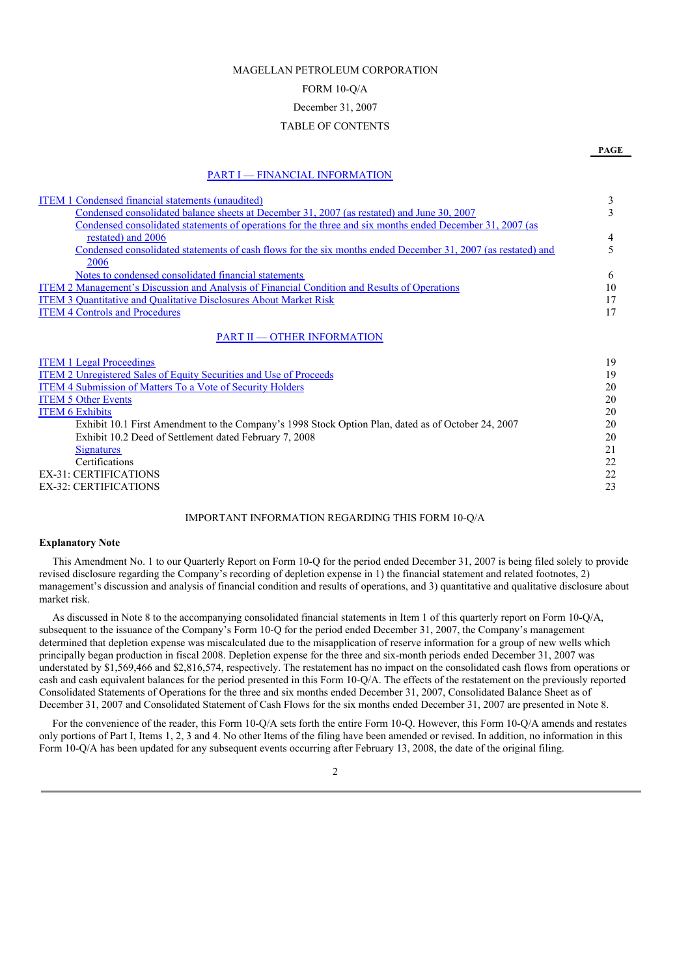# MAGELLAN PETROLEUM CORPORATION

# FORM 10-Q/A

# December 31, 2007

### TABLE OF CONTENTS

#### PART I — FINANCIAL [INFORMATION](#page-0-0)

| <b>ITEM 1 Condensed financial statements (unaudited)</b>                                                     | 3  |
|--------------------------------------------------------------------------------------------------------------|----|
| Condensed consolidated balance sheets at December 31, 2007 (as restated) and June 30, 2007                   | 3  |
|                                                                                                              |    |
| Condensed consolidated statements of operations for the three and six months ended December 31, 2007 (as     |    |
| restated) and 2006                                                                                           | 4  |
| Condensed consolidated statements of cash flows for the six months ended December 31, 2007 (as restated) and | 5  |
| 2006                                                                                                         |    |
| Notes to condensed consolidated financial statements                                                         | 6  |
| <b>ITEM 2 Management's Discussion and Analysis of Financial Condition and Results of Operations</b>          | 10 |
| <b>ITEM 3 Quantitative and Qualitative Disclosures About Market Risk</b>                                     | 17 |
| <b>ITEM 4 Controls and Procedures</b>                                                                        | 17 |
|                                                                                                              |    |
| <b>PART II - OTHER INFORMATION</b>                                                                           |    |
| <b>ITEM 1 Legal Proceedings</b>                                                                              | 19 |
| <b>ITEM 2 Unregistered Sales of Equity Securities and Use of Proceeds</b>                                    | 19 |
| <b>ITEM 4 Submission of Matters To a Vote of Security Holders</b>                                            | 20 |
| <b>ITEM 5 Other Events</b>                                                                                   | 20 |
| <b>ITEM 6 Exhibits</b>                                                                                       | 20 |
| Exhibit 10.1 First Amendment to the Company's 1998 Stock Option Plan, dated as of October 24, 2007           | 20 |
| Exhibit 10.2 Deed of Settlement dated February 7, 2008                                                       | 20 |
|                                                                                                              | 21 |
| Signatures                                                                                                   |    |
| Certifications                                                                                               | 22 |
| <b>EX-31: CERTIFICATIONS</b>                                                                                 | 22 |
| <b>EX-32: CERTIFICATIONS</b>                                                                                 | 23 |

#### IMPORTANT INFORMATION REGARDING THIS FORM 10-Q/A

#### **Explanatory Note**

This Amendment No. 1 to our Quarterly Report on Form 10-Q for the period ended December 31, 2007 is being filed solely to provide revised disclosure regarding the Company's recording of depletion expense in 1) the financial statement and related footnotes, 2) management's discussion and analysis of financial condition and results of operations, and 3) quantitative and qualitative disclosure about market risk.

As discussed in Note 8 to the accompanying consolidated financial statements in Item 1 of this quarterly report on Form 10-Q/A, subsequent to the issuance of the Company's Form 10-Q for the period ended December 31, 2007, the Company's management determined that depletion expense was miscalculated due to the misapplication of reserve information for a group of new wells which principally began production in fiscal 2008. Depletion expense for the three and six-month periods ended December 31, 2007 was understated by \$1,569,466 and \$2,816,574, respectively. The restatement has no impact on the consolidated cash flows from operations or cash and cash equivalent balances for the period presented in this Form 10-Q/A. The effects of the restatement on the previously reported Consolidated Statements of Operations for the three and six months ended December 31, 2007, Consolidated Balance Sheet as of December 31, 2007 and Consolidated Statement of Cash Flows for the six months ended December 31, 2007 are presented in Note 8.

For the convenience of the reader, this Form 10-Q/A sets forth the entire Form 10-Q. However, this Form 10-Q/A amends and restates only portions of Part I, Items 1, 2, 3 and 4. No other Items of the filing have been amended or revised. In addition, no information in this Form 10-O/A has been updated for any subsequent events occurring after February 13, 2008, the date of the original filing.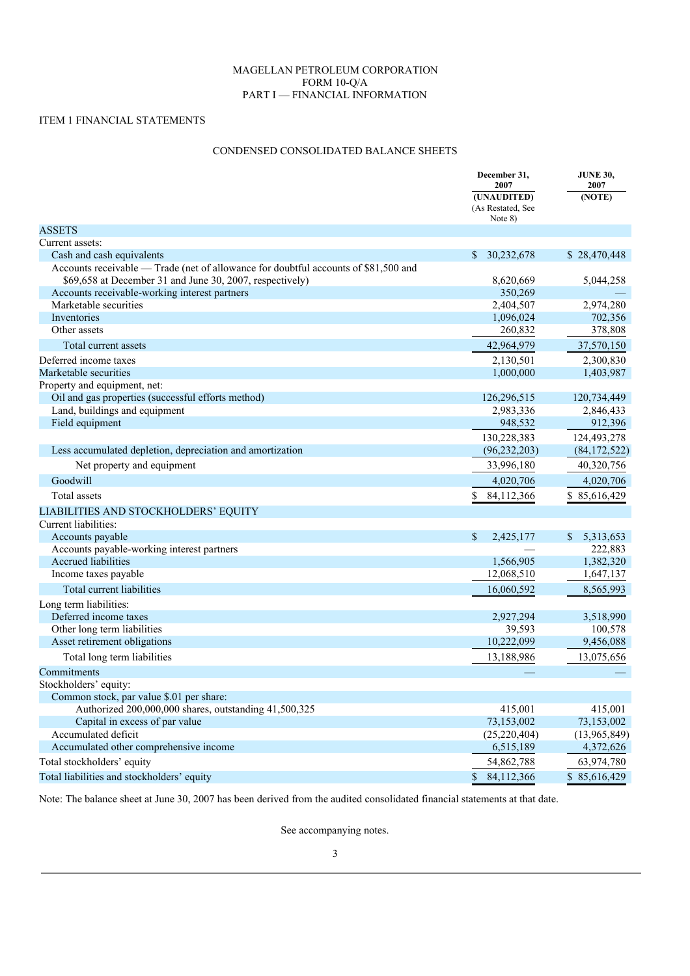# MAGELLAN PETROLEUM CORPORATION FORM 10-Q/A PART I — FINANCIAL INFORMATION

# ITEM 1 FINANCIAL STATEMENTS

# CONDENSED CONSOLIDATED BALANCE SHEETS

|                                                                                                                                                 | December 31,<br>2007                        | <b>JUNE 30,</b><br>2007 |  |
|-------------------------------------------------------------------------------------------------------------------------------------------------|---------------------------------------------|-------------------------|--|
|                                                                                                                                                 | (UNAUDITED)<br>(As Restated, See<br>Note 8) | (NOTE)                  |  |
| <b>ASSETS</b>                                                                                                                                   |                                             |                         |  |
| Current assets:                                                                                                                                 |                                             |                         |  |
| Cash and cash equivalents                                                                                                                       | 30,232,678<br>\$                            | \$28,470,448            |  |
| Accounts receivable — Trade (net of allowance for doubtful accounts of \$81,500 and<br>\$69,658 at December 31 and June 30, 2007, respectively) | 8,620,669                                   | 5,044,258               |  |
| Accounts receivable-working interest partners                                                                                                   | 350,269                                     |                         |  |
| Marketable securities                                                                                                                           | 2,404,507                                   | 2,974,280               |  |
| Inventories                                                                                                                                     | 1,096,024                                   | 702,356                 |  |
| Other assets                                                                                                                                    | 260,832                                     | 378,808                 |  |
| Total current assets                                                                                                                            | 42,964,979                                  | 37,570,150              |  |
| Deferred income taxes                                                                                                                           | 2,130,501                                   | 2,300,830               |  |
| Marketable securities                                                                                                                           | 1,000,000                                   | 1,403,987               |  |
| Property and equipment, net:                                                                                                                    |                                             |                         |  |
| Oil and gas properties (successful efforts method)                                                                                              | 126,296,515                                 | 120,734,449             |  |
| Land, buildings and equipment                                                                                                                   | 2,983,336                                   | 2,846,433               |  |
| Field equipment                                                                                                                                 | 948,532                                     | 912,396                 |  |
|                                                                                                                                                 | 130,228,383                                 | 124,493,278             |  |
| Less accumulated depletion, depreciation and amortization                                                                                       | (96, 232, 203)                              | (84, 172, 522)          |  |
| Net property and equipment                                                                                                                      | 33,996,180                                  | 40,320,756              |  |
| Goodwill                                                                                                                                        | 4,020,706                                   | 4,020,706               |  |
| Total assets                                                                                                                                    | \$<br>84,112,366                            | \$85,616,429            |  |
| LIABILITIES AND STOCKHOLDERS' EQUITY                                                                                                            |                                             |                         |  |
| Current liabilities:                                                                                                                            |                                             |                         |  |
| Accounts payable                                                                                                                                | \$<br>2,425,177                             | 5,313,653<br>\$         |  |
| Accounts payable-working interest partners                                                                                                      |                                             | 222,883                 |  |
| Accrued liabilities                                                                                                                             | 1,566,905                                   | 1,382,320               |  |
| Income taxes payable                                                                                                                            | 12,068,510                                  | 1,647,137               |  |
| Total current liabilities                                                                                                                       | 16,060,592                                  | 8,565,993               |  |
| Long term liabilities:                                                                                                                          |                                             |                         |  |
| Deferred income taxes                                                                                                                           | 2,927,294                                   | 3,518,990               |  |
| Other long term liabilities                                                                                                                     | 39,593                                      | 100,578                 |  |
| Asset retirement obligations                                                                                                                    | 10,222,099                                  | 9,456,088               |  |
| Total long term liabilities                                                                                                                     | 13,188,986                                  | 13,075,656              |  |
| Commitments                                                                                                                                     |                                             |                         |  |
| Stockholders' equity:                                                                                                                           |                                             |                         |  |
| Common stock, par value \$.01 per share:                                                                                                        |                                             |                         |  |
| Authorized 200,000,000 shares, outstanding 41,500,325                                                                                           | 415,001                                     | 415,001                 |  |
| Capital in excess of par value                                                                                                                  | 73,153,002                                  | 73,153,002              |  |
| Accumulated deficit                                                                                                                             | (25, 220, 404)                              | (13,965,849)            |  |
| Accumulated other comprehensive income                                                                                                          | 6,515,189                                   | 4,372,626               |  |
| Total stockholders' equity                                                                                                                      | 54,862,788                                  | 63,974,780              |  |
| Total liabilities and stockholders' equity                                                                                                      | $\mathbb{S}$<br>84,112,366                  | \$85,616,429            |  |

Note: The balance sheet at June 30, 2007 has been derived from the audited consolidated financial statements at that date.

See accompanying notes.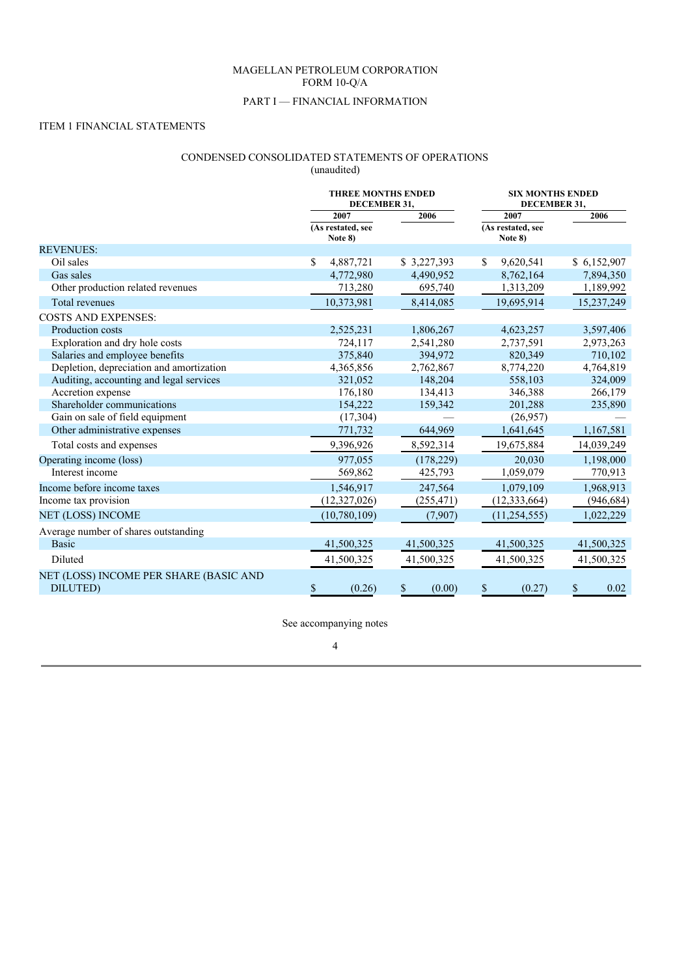# MAGELLAN PETROLEUM CORPORATION FORM 10-Q/A

# PART I — FINANCIAL INFORMATION

# ITEM 1 FINANCIAL STATEMENTS

# CONDENSED CONSOLIDATED STATEMENTS OF OPERATIONS

(unaudited)

|                                                            |                                      | <b>THREE MONTHS ENDED</b><br>DECEMBER 31, |                                      | <b>SIX MONTHS ENDED</b><br>DECEMBER 31, |
|------------------------------------------------------------|--------------------------------------|-------------------------------------------|--------------------------------------|-----------------------------------------|
|                                                            | 2007<br>(As restated, see<br>Note 8) | 2006                                      | 2007<br>(As restated, see<br>Note 8) | 2006                                    |
| <b>REVENUES:</b>                                           |                                      |                                           |                                      |                                         |
| Oil sales                                                  | \$<br>4,887,721                      | \$3,227,393                               | 9,620,541<br>S                       | \$6,152,907                             |
| Gas sales                                                  | 4,772,980                            | 4,490,952                                 | 8,762,164                            | 7,894,350                               |
| Other production related revenues                          | 713,280                              | 695,740                                   | 1,313,209                            | 1,189,992                               |
| <b>Total revenues</b>                                      | 10,373,981                           | 8,414,085                                 | 19,695,914                           | 15,237,249                              |
| <b>COSTS AND EXPENSES:</b>                                 |                                      |                                           |                                      |                                         |
| Production costs                                           | 2,525,231                            | 1,806,267                                 | 4,623,257                            | 3,597,406                               |
| Exploration and dry hole costs                             | 724,117                              | 2,541,280                                 | 2,737,591                            | 2,973,263                               |
| Salaries and employee benefits                             | 375,840                              | 394,972                                   | 820,349                              | 710,102                                 |
| Depletion, depreciation and amortization                   | 4,365,856                            | 2,762,867                                 | 8,774,220                            | 4,764,819                               |
| Auditing, accounting and legal services                    | 321,052                              | 148,204                                   | 558,103                              | 324,009                                 |
| Accretion expense                                          | 176,180                              | 134,413                                   | 346,388                              | 266,179                                 |
| Shareholder communications                                 | 154,222                              | 159,342                                   | 201,288                              | 235,890                                 |
| Gain on sale of field equipment                            | (17, 304)                            |                                           | (26,957)                             |                                         |
| Other administrative expenses                              | 771,732                              | 644,969                                   | 1,641,645                            | 1,167,581                               |
| Total costs and expenses                                   | 9,396,926                            | 8,592,314                                 | 19,675,884                           | 14,039,249                              |
| Operating income (loss)                                    | 977,055                              | (178,229)                                 | 20,030                               | 1,198,000                               |
| Interest income                                            | 569,862                              | 425,793                                   | 1,059,079                            | 770,913                                 |
| Income before income taxes                                 | 1,546,917                            | 247,564                                   | 1,079,109                            | 1,968,913                               |
| Income tax provision                                       | (12,327,026)                         | (255, 471)                                | (12, 333, 664)                       | (946, 684)                              |
| <b>NET (LOSS) INCOME</b>                                   | (10,780,109)                         | (7,907)                                   | (11, 254, 555)                       | 1,022,229                               |
| Average number of shares outstanding                       |                                      |                                           |                                      |                                         |
| Basic                                                      | 41,500,325                           | 41,500,325                                | 41,500,325                           | 41,500,325                              |
| <b>Diluted</b>                                             | 41,500,325                           | 41,500,325                                | 41,500,325                           | 41,500,325                              |
| NET (LOSS) INCOME PER SHARE (BASIC AND<br><b>DILUTED</b> ) | \$<br>(0.26)                         | \$<br>(0.00)                              | \$<br>(0.27)                         | $\mathbb{S}$<br>0.02                    |

See accompanying notes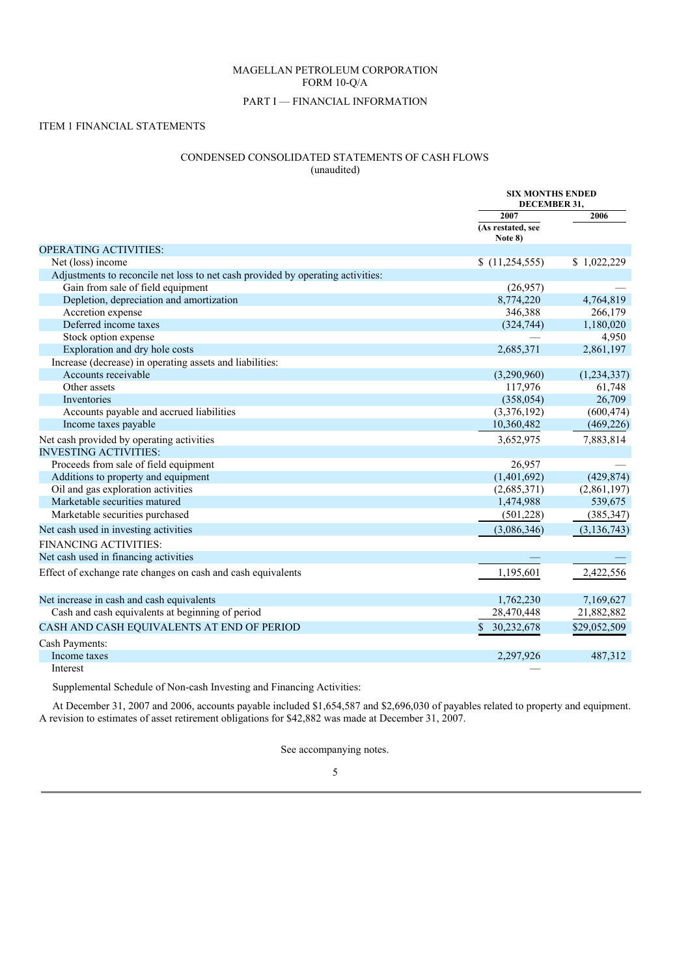# MAGELLAN PETROLEUM CORPORATION FORM 10-Q/A

# PART I — FINANCIAL INFORMATION

# ITEM 1 FINANCIAL STATEMENTS

# CONDENSED CONSOLIDATED STATEMENTS OF CASH FLOWS

(unaudited)

|                                                                                 | <b>SIX MONTHS ENDED</b><br>DECEMBER 31, |               |
|---------------------------------------------------------------------------------|-----------------------------------------|---------------|
|                                                                                 | 2007                                    | 2006          |
|                                                                                 | (As restated, see<br>Note 8)            |               |
| <b>OPERATING ACTIVITIES:</b>                                                    |                                         |               |
| Net (loss) income                                                               | (11,254,555)                            | \$1,022,229   |
| Adjustments to reconcile net loss to net cash provided by operating activities: |                                         |               |
| Gain from sale of field equipment                                               | (26,957)                                |               |
| Depletion, depreciation and amortization                                        | 8,774,220                               | 4,764,819     |
| Accretion expense                                                               | 346,388                                 | 266,179       |
| Deferred income taxes                                                           | (324, 744)                              | 1,180,020     |
| Stock option expense                                                            |                                         | 4,950         |
| Exploration and dry hole costs                                                  | 2,685,371                               | 2,861,197     |
| Increase (decrease) in operating assets and liabilities:                        |                                         |               |
| Accounts receivable                                                             | (3,290,960)                             | (1,234,337)   |
| Other assets                                                                    | 117,976                                 | 61,748        |
| Inventories                                                                     | (358, 054)                              | 26,709        |
| Accounts payable and accrued liabilities                                        | (3,376,192)                             | (600, 474)    |
| Income taxes payable                                                            | 10,360,482                              | (469, 226)    |
| Net cash provided by operating activities                                       | 3,652,975                               | 7,883,814     |
| <b>INVESTING ACTIVITIES:</b>                                                    |                                         |               |
| Proceeds from sale of field equipment                                           | 26,957                                  |               |
| Additions to property and equipment                                             | (1,401,692)                             | (429, 874)    |
| Oil and gas exploration activities                                              | (2,685,371)                             | (2,861,197)   |
| Marketable securities matured                                                   | 1,474,988                               | 539,675       |
| Marketable securities purchased                                                 | (501, 228)                              | (385, 347)    |
| Net cash used in investing activities                                           | (3,086,346)                             | (3, 136, 743) |
| <b>FINANCING ACTIVITIES:</b>                                                    |                                         |               |
| Net cash used in financing activities                                           |                                         |               |
| Effect of exchange rate changes on cash and cash equivalents                    | 1,195,601                               | 2,422,556     |
| Net increase in cash and cash equivalents                                       | 1,762,230                               | 7,169,627     |
| Cash and cash equivalents at beginning of period                                | 28,470,448                              | 21,882,882    |
| CASH AND CASH EQUIVALENTS AT END OF PERIOD                                      | 30,232,678<br>\$.                       | \$29,052,509  |
| Cash Payments:                                                                  |                                         |               |
| Income taxes                                                                    | 2,297,926                               | 487,312       |
| Interest                                                                        |                                         |               |

Supplemental Schedule of Non-cash Investing and Financing Activities:

At December 31, 2007 and 2006, accounts payable included \$1,654,587 and \$2,696,030 of payables related to property and equipment. A revision to estimates of asset retirement obligations for \$42,882 was made at December 31, 2007.

See accompanying notes.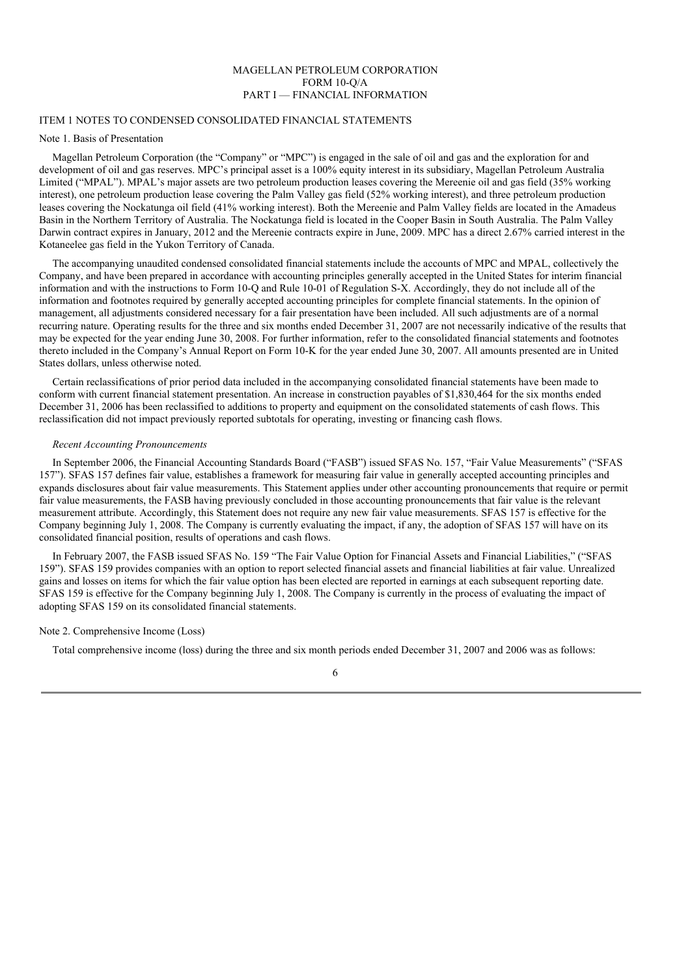# MAGELLAN PETROLEUM CORPORATION FORM 10-Q/A PART I — FINANCIAL INFORMATION

# ITEM 1 NOTES TO CONDENSED CONSOLIDATED FINANCIAL STATEMENTS

#### Note 1. Basis of Presentation

Magellan Petroleum Corporation (the "Company" or "MPC") is engaged in the sale of oil and gas and the exploration for and development of oil and gas reserves. MPC's principal asset is a 100% equity interest in its subsidiary, Magellan Petroleum Australia Limited ("MPAL"). MPAL's major assets are two petroleum production leases covering the Mereenie oil and gas field (35% working interest), one petroleum production lease covering the Palm Valley gas field (52% working interest), and three petroleum production leases covering the Nockatunga oil field (41% working interest). Both the Mereenie and Palm Valley fields are located in the Amadeus Basin in the Northern Territory of Australia. The Nockatunga field is located in the Cooper Basin in South Australia. The Palm Valley Darwin contract expires in January, 2012 and the Mereenie contracts expire in June, 2009. MPC has a direct 2.67% carried interest in the Kotaneelee gas field in the Yukon Territory of Canada.

The accompanying unaudited condensed consolidated financial statements include the accounts of MPC and MPAL, collectively the Company, and have been prepared in accordance with accounting principles generally accepted in the United States for interim financial information and with the instructions to Form 10-Q and Rule 10-01 of Regulation S-X. Accordingly, they do not include all of the information and footnotes required by generally accepted accounting principles for complete financial statements. In the opinion of management, all adjustments considered necessary for a fair presentation have been included. All such adjustments are of a normal recurring nature. Operating results for the three and six months ended December 31, 2007 are not necessarily indicative of the results that may be expected for the year ending June 30, 2008. For further information, refer to the consolidated financial statements and footnotes thereto included in the Company's Annual Report on Form 10-K for the year ended June 30, 2007. All amounts presented are in United States dollars, unless otherwise noted.

Certain reclassifications of prior period data included in the accompanying consolidated financial statements have been made to conform with current financial statement presentation. An increase in construction payables of \$1,830,464 for the six months ended December 31, 2006 has been reclassified to additions to property and equipment on the consolidated statements of cash flows. This reclassification did not impact previously reported subtotals for operating, investing or financing cash flows.

#### *Recent Accounting Pronouncements*

In September 2006, the Financial Accounting Standards Board ("FASB") issued SFAS No. 157, "Fair Value Measurements" ("SFAS 157"). SFAS 157 defines fair value, establishes a framework for measuring fair value in generally accepted accounting principles and expands disclosures about fair value measurements. This Statement applies under other accounting pronouncements that require or permit fair value measurements, the FASB having previously concluded in those accounting pronouncements that fair value is the relevant measurement attribute. Accordingly, this Statement does not require any new fair value measurements. SFAS 157 is effective for the Company beginning July 1, 2008. The Company is currently evaluating the impact, if any, the adoption of SFAS 157 will have on its consolidated financial position, results of operations and cash flows.

In February 2007, the FASB issued SFAS No. 159 "The Fair Value Option for Financial Assets and Financial Liabilities," ("SFAS 159"). SFAS 159 provides companies with an option to report selected financial assets and financial liabilities at fair value. Unrealized gains and losses on items for which the fair value option has been elected are reported in earnings at each subsequent reporting date. SFAS 159 is effective for the Company beginning July 1, 2008. The Company is currently in the process of evaluating the impact of adopting SFAS 159 on its consolidated financial statements.

#### Note 2. Comprehensive Income (Loss)

Total comprehensive income (loss) during the three and six month periods ended December 31, 2007 and 2006 was as follows: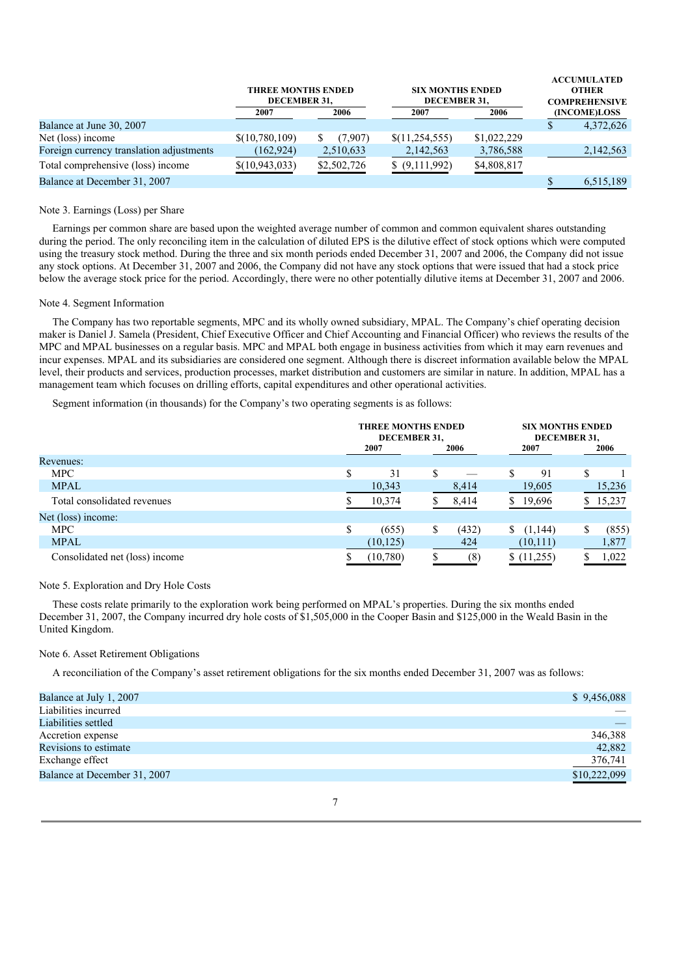|                                          | <b>THREE MONTHS ENDED</b><br>DECEMBER 31. |             | <b>SIX MONTHS ENDED</b><br>DECEMBER 31. | <b>ACCUMULATED</b><br><b>OTHER</b><br><b>COMPREHENSIVE</b> |              |
|------------------------------------------|-------------------------------------------|-------------|-----------------------------------------|------------------------------------------------------------|--------------|
|                                          | 2007                                      | 2006        | 2007                                    | 2006                                                       | (INCOME)LOSS |
| Balance at June 30, 2007                 |                                           |             |                                         |                                                            | 4,372,626    |
| Net (loss) income                        | \$(10,780,109)                            | (7.907)     | \$(11,254,555)                          | \$1,022,229                                                |              |
| Foreign currency translation adjustments | (162, 924)                                | 2,510,633   | 2,142,563                               | 3,786,588                                                  | 2,142,563    |
| Total comprehensive (loss) income        | \$(10, 943, 033)                          | \$2,502,726 | \$ (9,111,992)                          | \$4,808,817                                                |              |
| Balance at December 31, 2007             |                                           |             |                                         |                                                            | 6,515,189    |

#### Note 3. Earnings (Loss) per Share

Earnings per common share are based upon the weighted average number of common and common equivalent shares outstanding during the period. The only reconciling item in the calculation of diluted EPS is the dilutive effect of stock options which were computed using the treasury stock method. During the three and six month periods ended December 31, 2007 and 2006, the Company did not issue any stock options. At December 31, 2007 and 2006, the Company did not have any stock options that were issued that had a stock price below the average stock price for the period. Accordingly, there were no other potentially dilutive items at December 31, 2007 and 2006.

#### Note 4. Segment Information

The Company has two reportable segments, MPC and its wholly owned subsidiary, MPAL. The Company's chief operating decision maker is Daniel J. Samela (President, Chief Executive Officer and Chief Accounting and Financial Officer) who reviews the results of the MPC and MPAL businesses on a regular basis. MPC and MPAL both engage in business activities from which it may earn revenues and incur expenses. MPAL and its subsidiaries are considered one segment. Although there is discreet information available below the MPAL level, their products and services, production processes, market distribution and customers are similar in nature. In addition, MPAL has a management team which focuses on drilling efforts, capital expenditures and other operational activities.

Segment information (in thousands) for the Company's two operating segments is as follows:

|                                | <b>THREE MONTHS ENDED</b><br>DECEMBER 31, |    |       |    | <b>SIX MONTHS ENDED</b><br>DECEMBER 31, |   |        |
|--------------------------------|-------------------------------------------|----|-------|----|-----------------------------------------|---|--------|
|                                | 2007                                      |    | 2006  |    | 2007                                    |   | 2006   |
| Revenues:                      |                                           |    |       |    |                                         |   |        |
| <b>MPC</b>                     | \$<br>31                                  | \$ |       | \$ | 91                                      | S |        |
| <b>MPAL</b>                    | 10,343                                    |    | 8,414 |    | 19,605                                  |   | 15,236 |
| Total consolidated revenues    | 10,374                                    |    | 8,414 |    | 19,696                                  | S | 15,237 |
| Net (loss) income:             |                                           |    |       |    |                                         |   |        |
| <b>MPC</b>                     | \$<br>(655)                               | \$ | (432) |    | (1,144)                                 |   | (855)  |
| <b>MPAL</b>                    | (10, 125)                                 |    | 424   |    | (10, 111)                               |   | 1,877  |
| Consolidated net (loss) income | (10,780)                                  |    | (8)   |    | \$(11,255)                              |   | 1,022  |

# Note 5. Exploration and Dry Hole Costs

These costs relate primarily to the exploration work being performed on MPAL's properties. During the six months ended December 31, 2007, the Company incurred dry hole costs of \$1,505,000 in the Cooper Basin and \$125,000 in the Weald Basin in the United Kingdom.

# Note 6. Asset Retirement Obligations

A reconciliation of the Company's asset retirement obligations for the six months ended December 31, 2007 was as follows:

| Balance at July 1, 2007      | \$9,456,088  |
|------------------------------|--------------|
| Liabilities incurred         |              |
| Liabilities settled          |              |
| Accretion expense            | 346,388      |
| Revisions to estimate        | 42,882       |
| Exchange effect              | 376,741      |
| Balance at December 31, 2007 | \$10,222,099 |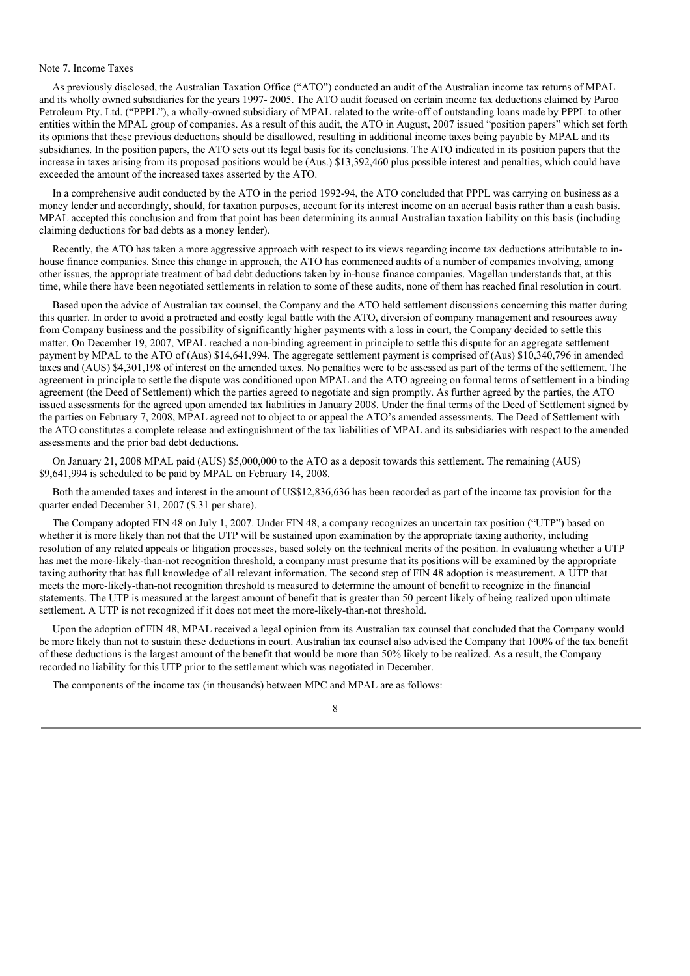## Note 7. Income Taxes

As previously disclosed, the Australian Taxation Office ("ATO") conducted an audit of the Australian income tax returns of MPAL and its wholly owned subsidiaries for the years 1997- 2005. The ATO audit focused on certain income tax deductions claimed by Paroo Petroleum Pty. Ltd. ("PPPL"), a wholly-owned subsidiary of MPAL related to the write-off of outstanding loans made by PPPL to other entities within the MPAL group of companies. As a result of this audit, the ATO in August, 2007 issued "position papers" which set forth its opinions that these previous deductions should be disallowed, resulting in additional income taxes being payable by MPAL and its subsidiaries. In the position papers, the ATO sets out its legal basis for its conclusions. The ATO indicated in its position papers that the increase in taxes arising from its proposed positions would be (Aus.) \$13,392,460 plus possible interest and penalties, which could have exceeded the amount of the increased taxes asserted by the ATO.

In a comprehensive audit conducted by the ATO in the period 1992-94, the ATO concluded that PPPL was carrying on business as a money lender and accordingly, should, for taxation purposes, account for its interest income on an accrual basis rather than a cash basis. MPAL accepted this conclusion and from that point has been determining its annual Australian taxation liability on this basis (including claiming deductions for bad debts as a money lender).

Recently, the ATO has taken a more aggressive approach with respect to its views regarding income tax deductions attributable to inhouse finance companies. Since this change in approach, the ATO has commenced audits of a number of companies involving, among other issues, the appropriate treatment of bad debt deductions taken by in-house finance companies. Magellan understands that, at this time, while there have been negotiated settlements in relation to some of these audits, none of them has reached final resolution in court.

Based upon the advice of Australian tax counsel, the Company and the ATO held settlement discussions concerning this matter during this quarter. In order to avoid a protracted and costly legal battle with the ATO, diversion of company management and resources away from Company business and the possibility of significantly higher payments with a loss in court, the Company decided to settle this matter. On December 19, 2007, MPAL reached a non-binding agreement in principle to settle this dispute for an aggregate settlement payment by MPAL to the ATO of (Aus) \$14,641,994. The aggregate settlement payment is comprised of (Aus) \$10,340,796 in amended taxes and (AUS) \$4,301,198 of interest on the amended taxes. No penalties were to be assessed as part of the terms of the settlement. The agreement in principle to settle the dispute was conditioned upon MPAL and the ATO agreeing on formal terms of settlement in a binding agreement (the Deed of Settlement) which the parties agreed to negotiate and sign promptly. As further agreed by the parties, the ATO issued assessments for the agreed upon amended tax liabilities in January 2008. Under the final terms of the Deed of Settlement signed by the parties on February 7, 2008, MPAL agreed not to object to or appeal the ATO's amended assessments. The Deed of Settlement with the ATO constitutes a complete release and extinguishment of the tax liabilities of MPAL and its subsidiaries with respect to the amended assessments and the prior bad debt deductions.

On January 21, 2008 MPAL paid (AUS) \$5,000,000 to the ATO as a deposit towards this settlement. The remaining (AUS) \$9,641,994 is scheduled to be paid by MPAL on February 14, 2008.

Both the amended taxes and interest in the amount of US\$12,836,636 has been recorded as part of the income tax provision for the quarter ended December 31, 2007 (\$.31 per share).

The Company adopted FIN 48 on July 1, 2007. Under FIN 48, a company recognizes an uncertain tax position ("UTP") based on whether it is more likely than not that the UTP will be sustained upon examination by the appropriate taxing authority, including resolution of any related appeals or litigation processes, based solely on the technical merits of the position. In evaluating whether a UTP has met the more-likely-than-not recognition threshold, a company must presume that its positions will be examined by the appropriate taxing authority that has full knowledge of all relevant information. The second step of FIN 48 adoption is measurement. A UTP that meets the more-likely-than-not recognition threshold is measured to determine the amount of benefit to recognize in the financial statements. The UTP is measured at the largest amount of benefit that is greater than 50 percent likely of being realized upon ultimate settlement. A UTP is not recognized if it does not meet the more-likely-than-not threshold.

Upon the adoption of FIN 48, MPAL received a legal opinion from its Australian tax counsel that concluded that the Company would be more likely than not to sustain these deductions in court. Australian tax counsel also advised the Company that 100% of the tax benefit of these deductions is the largest amount of the benefit that would be more than 50% likely to be realized. As a result, the Company recorded no liability for this UTP prior to the settlement which was negotiated in December.

The components of the income tax (in thousands) between MPC and MPAL are as follows:

<sup>8</sup>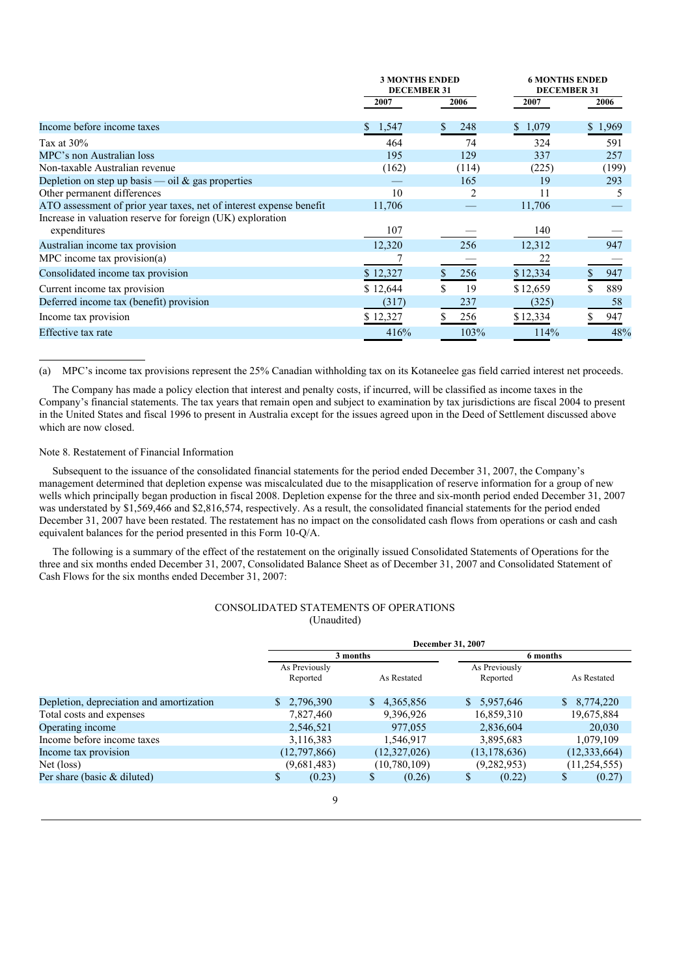|                                                                     | <b>3 MONTHS ENDED</b><br><b>DECEMBER 31</b> |          | <b>6 MONTHS ENDED</b><br><b>DECEMBER 31</b> |         |  |
|---------------------------------------------------------------------|---------------------------------------------|----------|---------------------------------------------|---------|--|
|                                                                     | 2007                                        | 2006     | 2007                                        | 2006    |  |
| Income before income taxes                                          | 1,547<br>S.                                 | 248<br>S | \$1,079                                     | \$1,969 |  |
| Tax at $30\%$                                                       | 464                                         | 74       | 324                                         | 591     |  |
| MPC's non Australian loss                                           | 195                                         | 129      | 337                                         | 257     |  |
| Non-taxable Australian revenue                                      | (162)                                       | (114)    | (225)                                       | (199)   |  |
| Depletion on step up basis — oil $\&$ gas properties                |                                             | 165      | 19                                          | 293     |  |
| Other permanent differences                                         | 10                                          |          | 11                                          |         |  |
| ATO assessment of prior year taxes, net of interest expense benefit | 11,706                                      |          | 11,706                                      |         |  |
| Increase in valuation reserve for foreign (UK) exploration          |                                             |          |                                             |         |  |
| expenditures                                                        | 107                                         |          | 140                                         |         |  |
| Australian income tax provision                                     | 12,320                                      | 256      | 12,312                                      | 947     |  |
| MPC income tax provision(a)                                         |                                             |          | 22                                          |         |  |
| Consolidated income tax provision                                   | \$12,327                                    | 256      | \$12,334                                    | 947     |  |
| Current income tax provision                                        | \$12,644                                    | 19       | \$12,659                                    | 889     |  |
| Deferred income tax (benefit) provision                             | (317)                                       | 237      | (325)                                       | 58      |  |
| Income tax provision                                                | \$12,327                                    | 256      | \$12,334                                    | 947     |  |
| Effective tax rate                                                  | 416%                                        | 103%     | 114%                                        | 48%     |  |

(a) MPC's income tax provisions represent the 25% Canadian withholding tax on its Kotaneelee gas field carried interest net proceeds.

The Company has made a policy election that interest and penalty costs, if incurred, will be classified as income taxes in the Company's financial statements. The tax years that remain open and subject to examination by tax jurisdictions are fiscal 2004 to present in the United States and fiscal 1996 to present in Australia except for the issues agreed upon in the Deed of Settlement discussed above which are now closed.

#### Note 8. Restatement of Financial Information

Subsequent to the issuance of the consolidated financial statements for the period ended December 31, 2007, the Company's management determined that depletion expense was miscalculated due to the misapplication of reserve information for a group of new wells which principally began production in fiscal 2008. Depletion expense for the three and six-month period ended December 31, 2007 was understated by \$1,569,466 and \$2,816,574, respectively. As a result, the consolidated financial statements for the period ended December 31, 2007 have been restated. The restatement has no impact on the consolidated cash flows from operations or cash and cash equivalent balances for the period presented in this Form 10-Q/A.

The following is a summary of the effect of the restatement on the originally issued Consolidated Statements of Operations for the three and six months ended December 31, 2007, Consolidated Balance Sheet as of December 31, 2007 and Consolidated Statement of Cash Flows for the six months ended December 31, 2007:

## CONSOLIDATED STATEMENTS OF OPERATIONS (Unaudited)

|                                          | <b>December 31, 2007</b>  |                |                           |                |  |  |
|------------------------------------------|---------------------------|----------------|---------------------------|----------------|--|--|
|                                          |                           | 3 months       |                           | 6 months       |  |  |
|                                          | As Previously<br>Reported | As Restated    | As Previously<br>Reported | As Restated    |  |  |
| Depletion, depreciation and amortization | \$2,796,390               | \$4,365,856    | \$5,957,646               | 8,774,220      |  |  |
| Total costs and expenses                 | 7,827,460                 | 9,396,926      | 16,859,310                | 19,675,884     |  |  |
| Operating income                         | 2,546,521                 | 977,055        | 2,836,604                 | 20,030         |  |  |
| Income before income taxes               | 3,116,383                 | 1,546,917      | 3,895,683                 | 1,079,109      |  |  |
| Income tax provision                     | (12,797,866)              | (12,327,026)   | (13, 178, 636)            | (12, 333, 664) |  |  |
| Net (loss)                               | (9,681,483)               | (10, 780, 109) | (9, 282, 953)             | (11, 254, 555) |  |  |
| Per share (basic $&$ diluted)            | \$<br>(0.23)              | \$<br>(0.26)   | \$<br>(0.22)              | \$<br>(0.27)   |  |  |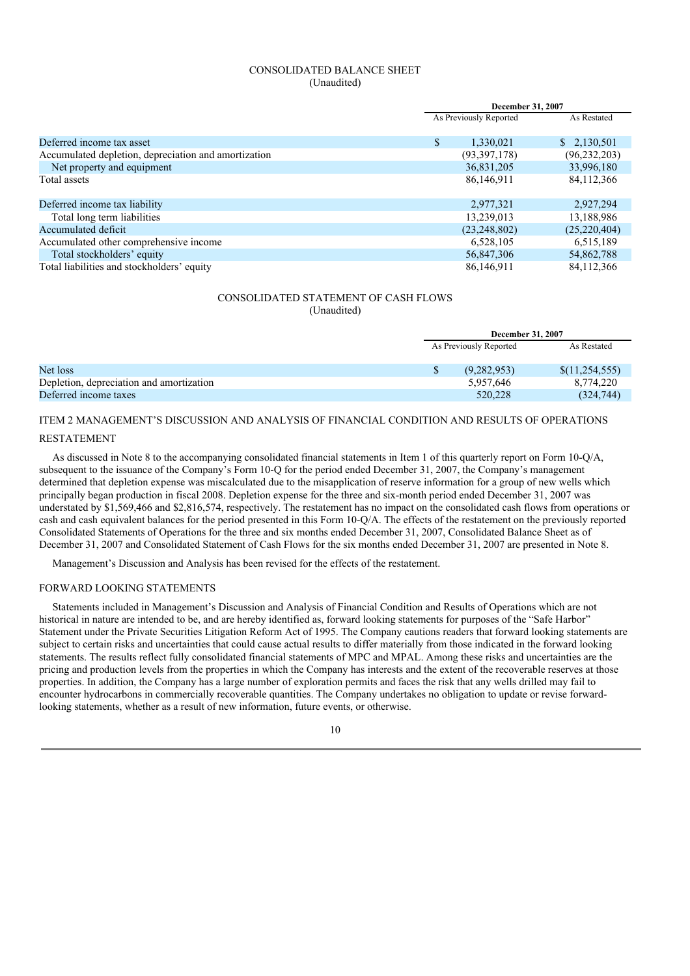# CONSOLIDATED BALANCE SHEET (Unaudited)

|                                                      | December 31, 2007      |                |  |  |
|------------------------------------------------------|------------------------|----------------|--|--|
|                                                      | As Previously Reported |                |  |  |
|                                                      |                        |                |  |  |
| Deferred income tax asset                            | \$<br>1,330,021        | \$2,130,501    |  |  |
| Accumulated depletion, depreciation and amortization | (93,397,178)           | (96, 232, 203) |  |  |
| Net property and equipment                           | 36,831,205             | 33,996,180     |  |  |
| Total assets                                         | 86,146,911             | 84, 112, 366   |  |  |
|                                                      |                        |                |  |  |
| Deferred income tax liability                        | 2,977,321              | 2,927,294      |  |  |
| Total long term liabilities                          | 13,239,013             | 13,188,986     |  |  |
| Accumulated deficit                                  | (23, 248, 802)         | (25, 220, 404) |  |  |
| Accumulated other comprehensive income               | 6,528,105              | 6,515,189      |  |  |
| Total stockholders' equity                           | 56,847,306             | 54,862,788     |  |  |
| Total liabilities and stockholders' equity           | 86,146,911             | 84, 112, 366   |  |  |

# CONSOLIDATED STATEMENT OF CASH FLOWS (Unaudited)

|                                          |                        | December 31, 2007 |                |
|------------------------------------------|------------------------|-------------------|----------------|
|                                          | As Previously Reported |                   | As Restated    |
| Net loss                                 | \$                     | (9,282,953)       | \$(11,254,555) |
| Depletion, depreciation and amortization |                        | 5,957,646         | 8,774,220      |
| Deferred income taxes                    |                        | 520,228           | (324, 744)     |

# ITEM 2 MANAGEMENT'S DISCUSSION AND ANALYSIS OF FINANCIAL CONDITION AND RESULTS OF OPERATIONS

#### RESTATEMENT

As discussed in Note 8 to the accompanying consolidated financial statements in Item 1 of this quarterly report on Form 10-Q/A, subsequent to the issuance of the Company's Form 10-Q for the period ended December 31, 2007, the Company's management determined that depletion expense was miscalculated due to the misapplication of reserve information for a group of new wells which principally began production in fiscal 2008. Depletion expense for the three and six-month period ended December 31, 2007 was understated by \$1,569,466 and \$2,816,574, respectively. The restatement has no impact on the consolidated cash flows from operations or cash and cash equivalent balances for the period presented in this Form 10-Q/A. The effects of the restatement on the previously reported Consolidated Statements of Operations for the three and six months ended December 31, 2007, Consolidated Balance Sheet as of December 31, 2007 and Consolidated Statement of Cash Flows for the six months ended December 31, 2007 are presented in Note 8.

Management's Discussion and Analysis has been revised for the effects of the restatement.

#### FORWARD LOOKING STATEMENTS

Statements included in Management's Discussion and Analysis of Financial Condition and Results of Operations which are not historical in nature are intended to be, and are hereby identified as, forward looking statements for purposes of the "Safe Harbor" Statement under the Private Securities Litigation Reform Act of 1995. The Company cautions readers that forward looking statements are subject to certain risks and uncertainties that could cause actual results to differ materially from those indicated in the forward looking statements. The results reflect fully consolidated financial statements of MPC and MPAL. Among these risks and uncertainties are the pricing and production levels from the properties in which the Company has interests and the extent of the recoverable reserves at those properties. In addition, the Company has a large number of exploration permits and faces the risk that any wells drilled may fail to encounter hydrocarbons in commercially recoverable quantities. The Company undertakes no obligation to update or revise forwardlooking statements, whether as a result of new information, future events, or otherwise.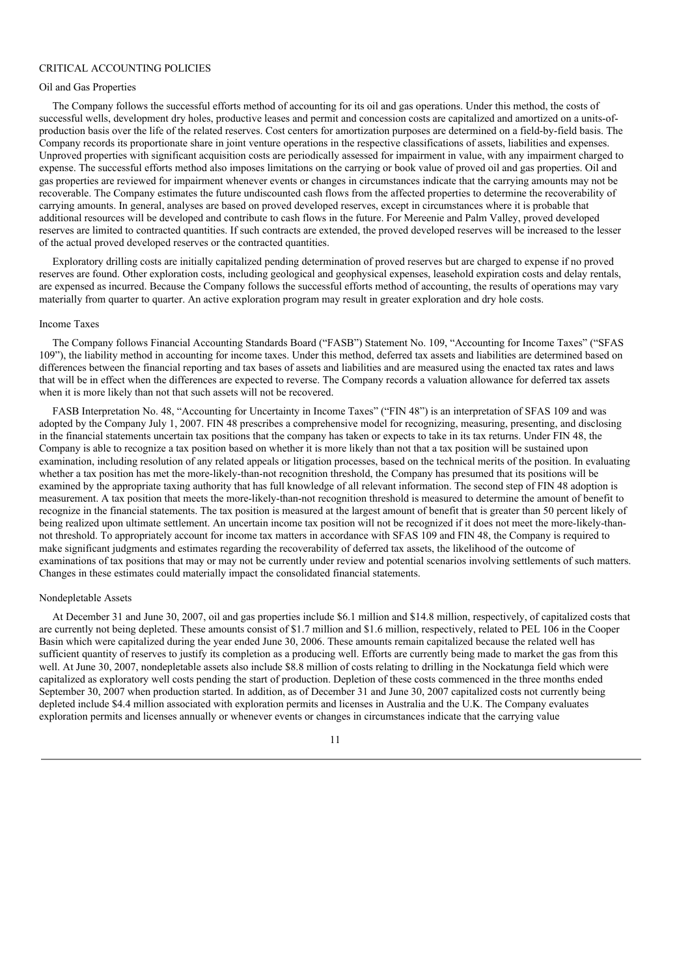# CRITICAL ACCOUNTING POLICIES

#### Oil and Gas Properties

The Company follows the successful efforts method of accounting for its oil and gas operations. Under this method, the costs of successful wells, development dry holes, productive leases and permit and concession costs are capitalized and amortized on a units-ofproduction basis over the life of the related reserves. Cost centers for amortization purposes are determined on a field-by-field basis. The Company records its proportionate share in joint venture operations in the respective classifications of assets, liabilities and expenses. Unproved properties with significant acquisition costs are periodically assessed for impairment in value, with any impairment charged to expense. The successful efforts method also imposes limitations on the carrying or book value of proved oil and gas properties. Oil and gas properties are reviewed for impairment whenever events or changes in circumstances indicate that the carrying amounts may not be recoverable. The Company estimates the future undiscounted cash flows from the affected properties to determine the recoverability of carrying amounts. In general, analyses are based on proved developed reserves, except in circumstances where it is probable that additional resources will be developed and contribute to cash flows in the future. For Mereenie and Palm Valley, proved developed reserves are limited to contracted quantities. If such contracts are extended, the proved developed reserves will be increased to the lesser of the actual proved developed reserves or the contracted quantities.

Exploratory drilling costs are initially capitalized pending determination of proved reserves but are charged to expense if no proved reserves are found. Other exploration costs, including geological and geophysical expenses, leasehold expiration costs and delay rentals, are expensed as incurred. Because the Company follows the successful efforts method of accounting, the results of operations may vary materially from quarter to quarter. An active exploration program may result in greater exploration and dry hole costs.

# Income Taxes

The Company follows Financial Accounting Standards Board ("FASB") Statement No. 109, "Accounting for Income Taxes" ("SFAS 109"), the liability method in accounting for income taxes. Under this method, deferred tax assets and liabilities are determined based on differences between the financial reporting and tax bases of assets and liabilities and are measured using the enacted tax rates and laws that will be in effect when the differences are expected to reverse. The Company records a valuation allowance for deferred tax assets when it is more likely than not that such assets will not be recovered.

FASB Interpretation No. 48, "Accounting for Uncertainty in Income Taxes" ("FIN 48") is an interpretation of SFAS 109 and was adopted by the Company July 1, 2007. FIN 48 prescribes a comprehensive model for recognizing, measuring, presenting, and disclosing in the financial statements uncertain tax positions that the company has taken or expects to take in its tax returns. Under FIN 48, the Company is able to recognize a tax position based on whether it is more likely than not that a tax position will be sustained upon examination, including resolution of any related appeals or litigation processes, based on the technical merits of the position. In evaluating whether a tax position has met the more-likely-than-not recognition threshold, the Company has presumed that its positions will be examined by the appropriate taxing authority that has full knowledge of all relevant information. The second step of FIN 48 adoption is measurement. A tax position that meets the more-likely-than-not recognition threshold is measured to determine the amount of benefit to recognize in the financial statements. The tax position is measured at the largest amount of benefit that is greater than 50 percent likely of being realized upon ultimate settlement. An uncertain income tax position will not be recognized if it does not meet the more-likely-thannot threshold. To appropriately account for income tax matters in accordance with SFAS 109 and FIN 48, the Company is required to make significant judgments and estimates regarding the recoverability of deferred tax assets, the likelihood of the outcome of examinations of tax positions that may or may not be currently under review and potential scenarios involving settlements of such matters. Changes in these estimates could materially impact the consolidated financial statements.

#### Nondepletable Assets

At December 31 and June 30, 2007, oil and gas properties include \$6.1 million and \$14.8 million, respectively, of capitalized costs that are currently not being depleted. These amounts consist of \$1.7 million and \$1.6 million, respectively, related to PEL 106 in the Cooper Basin which were capitalized during the year ended June 30, 2006. These amounts remain capitalized because the related well has sufficient quantity of reserves to justify its completion as a producing well. Efforts are currently being made to market the gas from this well. At June 30, 2007, nondepletable assets also include \$8.8 million of costs relating to drilling in the Nockatunga field which were capitalized as exploratory well costs pending the start of production. Depletion of these costs commenced in the three months ended September 30, 2007 when production started. In addition, as of December 31 and June 30, 2007 capitalized costs not currently being depleted include \$4.4 million associated with exploration permits and licenses in Australia and the U.K. The Company evaluates exploration permits and licenses annually or whenever events or changes in circumstances indicate that the carrying value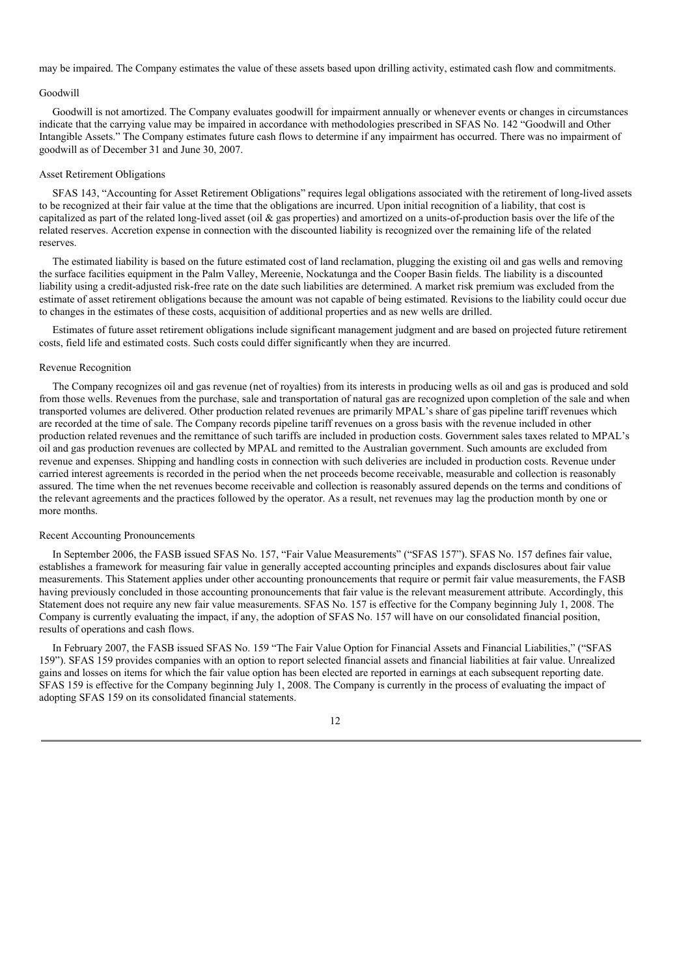may be impaired. The Company estimates the value of these assets based upon drilling activity, estimated cash flow and commitments.

# Goodwill

Goodwill is not amortized. The Company evaluates goodwill for impairment annually or whenever events or changes in circumstances indicate that the carrying value may be impaired in accordance with methodologies prescribed in SFAS No. 142 "Goodwill and Other Intangible Assets." The Company estimates future cash flows to determine if any impairment has occurred. There was no impairment of goodwill as of December 31 and June 30, 2007.

#### Asset Retirement Obligations

SFAS 143, "Accounting for Asset Retirement Obligations" requires legal obligations associated with the retirement of long-lived assets to be recognized at their fair value at the time that the obligations are incurred. Upon initial recognition of a liability, that cost is capitalized as part of the related long-lived asset (oil & gas properties) and amortized on a units-of-production basis over the life of the related reserves. Accretion expense in connection with the discounted liability is recognized over the remaining life of the related reserves.

The estimated liability is based on the future estimated cost of land reclamation, plugging the existing oil and gas wells and removing the surface facilities equipment in the Palm Valley, Mereenie, Nockatunga and the Cooper Basin fields. The liability is a discounted liability using a credit-adjusted risk-free rate on the date such liabilities are determined. A market risk premium was excluded from the estimate of asset retirement obligations because the amount was not capable of being estimated. Revisions to the liability could occur due to changes in the estimates of these costs, acquisition of additional properties and as new wells are drilled.

Estimates of future asset retirement obligations include significant management judgment and are based on projected future retirement costs, field life and estimated costs. Such costs could differ significantly when they are incurred.

#### Revenue Recognition

The Company recognizes oil and gas revenue (net of royalties) from its interests in producing wells as oil and gas is produced and sold from those wells. Revenues from the purchase, sale and transportation of natural gas are recognized upon completion of the sale and when transported volumes are delivered. Other production related revenues are primarily MPAL's share of gas pipeline tariff revenues which are recorded at the time of sale. The Company records pipeline tariff revenues on a gross basis with the revenue included in other production related revenues and the remittance of such tariffs are included in production costs. Government sales taxes related to MPAL's oil and gas production revenues are collected by MPAL and remitted to the Australian government. Such amounts are excluded from revenue and expenses. Shipping and handling costs in connection with such deliveries are included in production costs. Revenue under carried interest agreements is recorded in the period when the net proceeds become receivable, measurable and collection is reasonably assured. The time when the net revenues become receivable and collection is reasonably assured depends on the terms and conditions of the relevant agreements and the practices followed by the operator. As a result, net revenues may lag the production month by one or more months.

#### Recent Accounting Pronouncements

In September 2006, the FASB issued SFAS No. 157, "Fair Value Measurements" ("SFAS 157"). SFAS No. 157 defines fair value, establishes a framework for measuring fair value in generally accepted accounting principles and expands disclosures about fair value measurements. This Statement applies under other accounting pronouncements that require or permit fair value measurements, the FASB having previously concluded in those accounting pronouncements that fair value is the relevant measurement attribute. Accordingly, this Statement does not require any new fair value measurements. SFAS No. 157 is effective for the Company beginning July 1, 2008. The Company is currently evaluating the impact, if any, the adoption of SFAS No. 157 will have on our consolidated financial position, results of operations and cash flows.

In February 2007, the FASB issued SFAS No. 159 "The Fair Value Option for Financial Assets and Financial Liabilities," ("SFAS 159"). SFAS 159 provides companies with an option to report selected financial assets and financial liabilities at fair value. Unrealized gains and losses on items for which the fair value option has been elected are reported in earnings at each subsequent reporting date. SFAS 159 is effective for the Company beginning July 1, 2008. The Company is currently in the process of evaluating the impact of adopting SFAS 159 on its consolidated financial statements.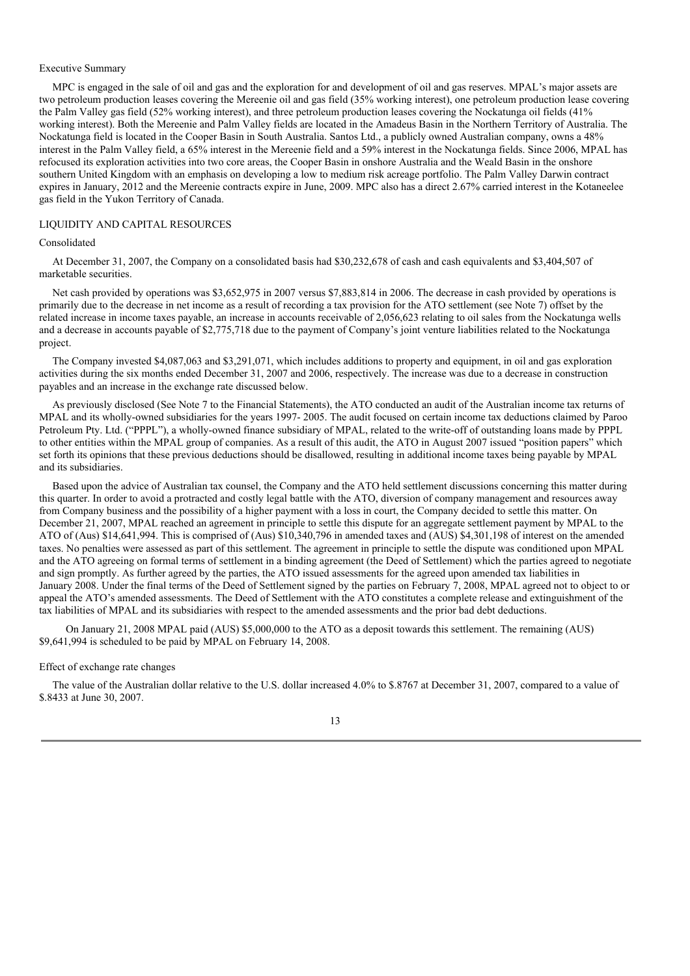## Executive Summary

MPC is engaged in the sale of oil and gas and the exploration for and development of oil and gas reserves. MPAL's major assets are two petroleum production leases covering the Mereenie oil and gas field (35% working interest), one petroleum production lease covering the Palm Valley gas field (52% working interest), and three petroleum production leases covering the Nockatunga oil fields (41% working interest). Both the Mereenie and Palm Valley fields are located in the Amadeus Basin in the Northern Territory of Australia. The Nockatunga field is located in the Cooper Basin in South Australia. Santos Ltd., a publicly owned Australian company, owns a 48% interest in the Palm Valley field, a 65% interest in the Mereenie field and a 59% interest in the Nockatunga fields. Since 2006, MPAL has refocused its exploration activities into two core areas, the Cooper Basin in onshore Australia and the Weald Basin in the onshore southern United Kingdom with an emphasis on developing a low to medium risk acreage portfolio. The Palm Valley Darwin contract expires in January, 2012 and the Mereenie contracts expire in June, 2009. MPC also has a direct 2.67% carried interest in the Kotaneelee gas field in the Yukon Territory of Canada.

#### LIQUIDITY AND CAPITAL RESOURCES

#### Consolidated

At December 31, 2007, the Company on a consolidated basis had \$30,232,678 of cash and cash equivalents and \$3,404,507 of marketable securities.

Net cash provided by operations was \$3,652,975 in 2007 versus \$7,883,814 in 2006. The decrease in cash provided by operations is primarily due to the decrease in net income as a result of recording a tax provision for the ATO settlement (see Note 7) offset by the related increase in income taxes payable, an increase in accounts receivable of 2,056,623 relating to oil sales from the Nockatunga wells and a decrease in accounts payable of \$2,775,718 due to the payment of Company's joint venture liabilities related to the Nockatunga project.

The Company invested \$4,087,063 and \$3,291,071, which includes additions to property and equipment, in oil and gas exploration activities during the six months ended December 31, 2007 and 2006, respectively. The increase was due to a decrease in construction payables and an increase in the exchange rate discussed below.

As previously disclosed (See Note 7 to the Financial Statements), the ATO conducted an audit of the Australian income tax returns of MPAL and its wholly-owned subsidiaries for the years 1997- 2005. The audit focused on certain income tax deductions claimed by Paroo Petroleum Pty. Ltd. ("PPPL"), a wholly-owned finance subsidiary of MPAL, related to the write-off of outstanding loans made by PPPL to other entities within the MPAL group of companies. As a result of this audit, the ATO in August 2007 issued "position papers" which set forth its opinions that these previous deductions should be disallowed, resulting in additional income taxes being payable by MPAL and its subsidiaries.

Based upon the advice of Australian tax counsel, the Company and the ATO held settlement discussions concerning this matter during this quarter. In order to avoid a protracted and costly legal battle with the ATO, diversion of company management and resources away from Company business and the possibility of a higher payment with a loss in court, the Company decided to settle this matter. On December 21, 2007, MPAL reached an agreement in principle to settle this dispute for an aggregate settlement payment by MPAL to the ATO of (Aus) \$14,641,994. This is comprised of (Aus) \$10,340,796 in amended taxes and (AUS) \$4,301,198 of interest on the amended taxes. No penalties were assessed as part of this settlement. The agreement in principle to settle the dispute was conditioned upon MPAL and the ATO agreeing on formal terms of settlement in a binding agreement (the Deed of Settlement) which the parties agreed to negotiate and sign promptly. As further agreed by the parties, the ATO issued assessments for the agreed upon amended tax liabilities in January 2008. Under the final terms of the Deed of Settlement signed by the parties on February 7, 2008, MPAL agreed not to object to or appeal the ATO's amended assessments. The Deed of Settlement with the ATO constitutes a complete release and extinguishment of the tax liabilities of MPAL and its subsidiaries with respect to the amended assessments and the prior bad debt deductions.

On January 21, 2008 MPAL paid (AUS) \$5,000,000 to the ATO as a deposit towards this settlement. The remaining (AUS) \$9,641,994 is scheduled to be paid by MPAL on February 14, 2008.

#### Effect of exchange rate changes

The value of the Australian dollar relative to the U.S. dollar increased 4.0% to \$.8767 at December 31, 2007, compared to a value of \$.8433 at June 30, 2007.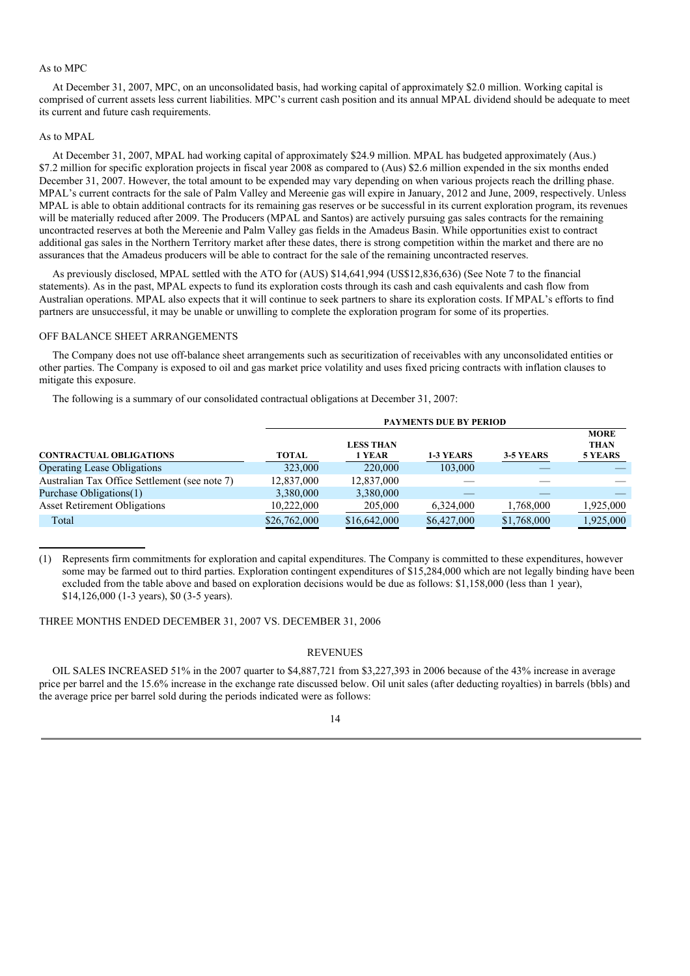#### As to MPC

At December 31, 2007, MPC, on an unconsolidated basis, had working capital of approximately \$2.0 million. Working capital is comprised of current assets less current liabilities. MPC's current cash position and its annual MPAL dividend should be adequate to meet its current and future cash requirements.

### As to MPAL

At December 31, 2007, MPAL had working capital of approximately \$24.9 million. MPAL has budgeted approximately (Aus.) \$7.2 million for specific exploration projects in fiscal year 2008 as compared to (Aus) \$2.6 million expended in the six months ended December 31, 2007. However, the total amount to be expended may vary depending on when various projects reach the drilling phase. MPAL's current contracts for the sale of Palm Valley and Mereenie gas will expire in January, 2012 and June, 2009, respectively. Unless MPAL is able to obtain additional contracts for its remaining gas reserves or be successful in its current exploration program, its revenues will be materially reduced after 2009. The Producers (MPAL and Santos) are actively pursuing gas sales contracts for the remaining uncontracted reserves at both the Mereenie and Palm Valley gas fields in the Amadeus Basin. While opportunities exist to contract additional gas sales in the Northern Territory market after these dates, there is strong competition within the market and there are no assurances that the Amadeus producers will be able to contract for the sale of the remaining uncontracted reserves.

As previously disclosed, MPAL settled with the ATO for (AUS) \$14,641,994 (US\$12,836,636) (See Note 7 to the financial statements). As in the past, MPAL expects to fund its exploration costs through its cash and cash equivalents and cash flow from Australian operations. MPAL also expects that it will continue to seek partners to share its exploration costs. If MPAL's efforts to find partners are unsuccessful, it may be unable or unwilling to complete the exploration program for some of its properties.

# OFF BALANCE SHEET ARRANGEMENTS

The Company does not use off-balance sheet arrangements such as securitization of receivables with any unconsolidated entities or other parties. The Company is exposed to oil and gas market price volatility and uses fixed pricing contracts with inflation clauses to mitigate this exposure.

The following is a summary of our consolidated contractual obligations at December 31, 2007:

|                                               | <b>PAYMENTS DUE BY PERIOD</b> |                            |             |             |                                       |  |  |
|-----------------------------------------------|-------------------------------|----------------------------|-------------|-------------|---------------------------------------|--|--|
| <b>CONTRACTUAL OBLIGATIONS</b>                | <b>TOTAL</b>                  | <b>LESS THAN</b><br>1 YEAR | 1-3 YEARS   | 3-5 YEARS   | <b>MORE</b><br><b>THAN</b><br>5 YEARS |  |  |
| <b>Operating Lease Obligations</b>            | 323,000                       | 220,000                    | 103,000     |             |                                       |  |  |
| Australian Tax Office Settlement (see note 7) | 12,837,000                    | 12,837,000                 |             |             |                                       |  |  |
| Purchase Obligations(1)                       | 3,380,000                     | 3,380,000                  |             |             |                                       |  |  |
| <b>Asset Retirement Obligations</b>           | 10,222,000                    | 205,000                    | 6,324,000   | 1,768,000   | 1,925,000                             |  |  |
| Total                                         | \$26,762,000                  | \$16,642,000               | \$6,427,000 | \$1,768,000 | 1,925,000                             |  |  |

(1) Represents firm commitments for exploration and capital expenditures. The Company is committed to these expenditures, however some may be farmed out to third parties. Exploration contingent expenditures of \$15,284,000 which are not legally binding have been excluded from the table above and based on exploration decisions would be due as follows: \$1,158,000 (less than 1 year), \$14,126,000 (1-3 years), \$0 (3-5 years).

THREE MONTHS ENDED DECEMBER 31, 2007 VS. DECEMBER 31, 2006

### REVENUES

OIL SALES INCREASED 51% in the 2007 quarter to \$4,887,721 from \$3,227,393 in 2006 because of the 43% increase in average price per barrel and the 15.6% increase in the exchange rate discussed below. Oil unit sales (after deducting royalties) in barrels (bbls) and the average price per barrel sold during the periods indicated were as follows: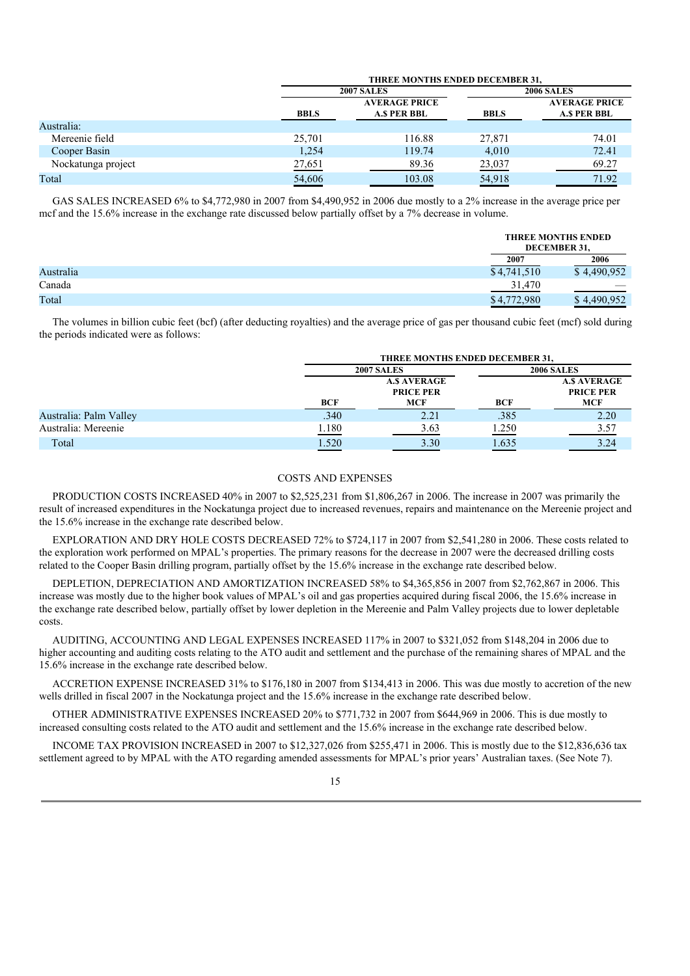|                    | <b>THREE MONTHS ENDED DECEMBER 31.</b> |                                            |             |                                            |
|--------------------|----------------------------------------|--------------------------------------------|-------------|--------------------------------------------|
|                    |                                        | <b>2007 SALES</b>                          |             | <b>2006 SALES</b>                          |
|                    | <b>BBLS</b>                            | <b>AVERAGE PRICE</b><br><b>A.S PER BBL</b> | <b>BBLS</b> | <b>AVERAGE PRICE</b><br><b>A.S PER BBL</b> |
| Australia:         |                                        |                                            |             |                                            |
| Mereenie field     | 25,701                                 | 116.88                                     | 27,871      | 74.01                                      |
| Cooper Basin       | 1,254                                  | 119.74                                     | 4,010       | 72.41                                      |
| Nockatunga project | 27,651                                 | 89.36                                      | 23,037      | 69.27                                      |
| Total              | 54,606                                 | 103.08                                     | 54,918      | 71.92                                      |

GAS SALES INCREASED 6% to \$4,772,980 in 2007 from \$4,490,952 in 2006 due mostly to a 2% increase in the average price per mcf and the 15.6% increase in the exchange rate discussed below partially offset by a 7% decrease in volume.

|           |             | <b>THREE MONTHS ENDED</b><br>DECEMBER 31, |
|-----------|-------------|-------------------------------------------|
|           | 2007        | 2006                                      |
| Australia | \$4,741,510 | \$4.490.952                               |
| Canada    | 31.470      |                                           |
| Total     | \$4,772,980 | \$4.490.952                               |

The volumes in billion cubic feet (bcf) (after deducting royalties) and the average price of gas per thousand cubic feet (mcf) sold during the periods indicated were as follows:

|                        |              | THREE MONTHS ENDED DECEMBER 31.                      |       |                                                      |  |
|------------------------|--------------|------------------------------------------------------|-------|------------------------------------------------------|--|
|                        |              | <b>2007 SALES</b>                                    |       | <b>2006 SALES</b>                                    |  |
|                        | <b>BCF</b>   | <b>A.S AVERAGE</b><br><b>PRICE PER</b><br><b>MCF</b> | BCF   | <b>A.S AVERAGE</b><br><b>PRICE PER</b><br><b>MCF</b> |  |
| Australia: Palm Valley | .340         | 2.21                                                 | .385  | 2.20                                                 |  |
| Australia: Mereenie    | <u>1.180</u> | 3.63                                                 | 1.250 | 3.57                                                 |  |
| Total                  | 1.520        | 3.30                                                 | 1.635 | 3.24                                                 |  |

## COSTS AND EXPENSES

PRODUCTION COSTS INCREASED 40% in 2007 to \$2,525,231 from \$1,806,267 in 2006. The increase in 2007 was primarily the result of increased expenditures in the Nockatunga project due to increased revenues, repairs and maintenance on the Mereenie project and the 15.6% increase in the exchange rate described below.

EXPLORATION AND DRY HOLE COSTS DECREASED 72% to \$724,117 in 2007 from \$2,541,280 in 2006. These costs related to the exploration work performed on MPAL's properties. The primary reasons for the decrease in 2007 were the decreased drilling costs related to the Cooper Basin drilling program, partially offset by the 15.6% increase in the exchange rate described below.

DEPLETION, DEPRECIATION AND AMORTIZATION INCREASED 58% to \$4,365,856 in 2007 from \$2,762,867 in 2006. This increase was mostly due to the higher book values of MPAL's oil and gas properties acquired during fiscal 2006, the 15.6% increase in the exchange rate described below, partially offset by lower depletion in the Mereenie and Palm Valley projects due to lower depletable costs.

AUDITING, ACCOUNTING AND LEGAL EXPENSES INCREASED 117% in 2007 to \$321,052 from \$148,204 in 2006 due to higher accounting and auditing costs relating to the ATO audit and settlement and the purchase of the remaining shares of MPAL and the 15.6% increase in the exchange rate described below.

ACCRETION EXPENSE INCREASED 31% to \$176,180 in 2007 from \$134,413 in 2006. This was due mostly to accretion of the new wells drilled in fiscal 2007 in the Nockatunga project and the 15.6% increase in the exchange rate described below.

OTHER ADMINISTRATIVE EXPENSES INCREASED 20% to \$771,732 in 2007 from \$644,969 in 2006. This is due mostly to increased consulting costs related to the ATO audit and settlement and the 15.6% increase in the exchange rate described below.

INCOME TAX PROVISION INCREASED in 2007 to \$12,327,026 from \$255,471 in 2006. This is mostly due to the \$12,836,636 tax settlement agreed to by MPAL with the ATO regarding amended assessments for MPAL's prior years' Australian taxes. (See Note 7).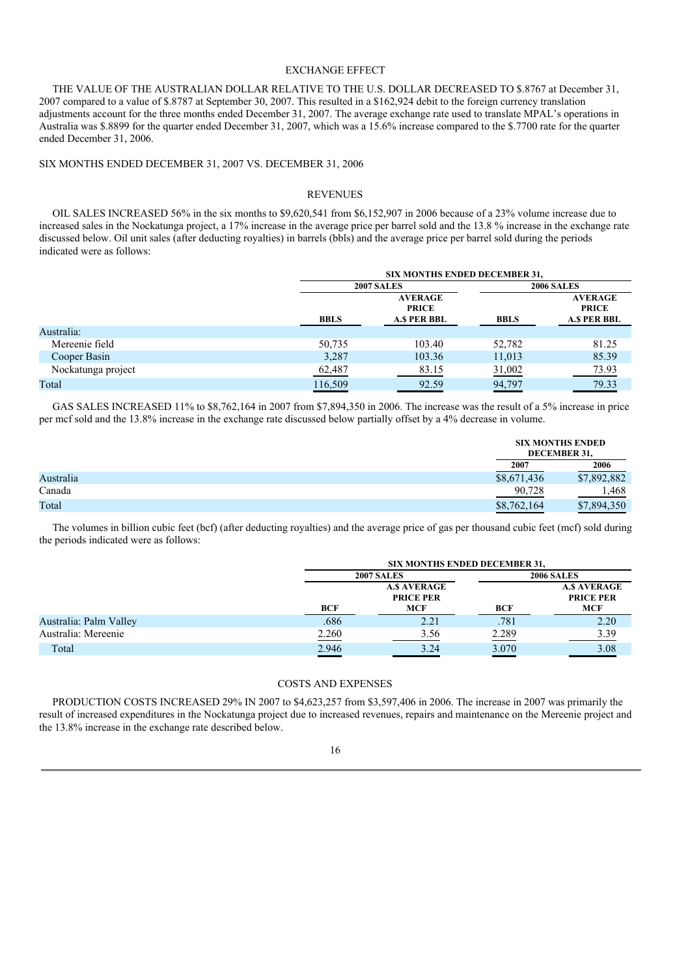# EXCHANGE EFFECT

THE VALUE OF THE AUSTRALIAN DOLLAR RELATIVE TO THE U.S. DOLLAR DECREASED TO \$.8767 at December 31, 2007 compared to a value of \$.8787 at September 30, 2007. This resulted in a \$162,924 debit to the foreign currency translation adjustments account for the three months ended December 31, 2007. The average exchange rate used to translate MPAL's operations in Australia was \$.8899 for the quarter ended December 31, 2007, which was a 15.6% increase compared to the \$.7700 rate for the quarter ended December 31, 2006.

SIX MONTHS ENDED DECEMBER 31, 2007 VS. DECEMBER 31, 2006

#### REVENUES

OIL SALES INCREASED 56% in the six months to \$9,620,541 from \$6,152,907 in 2006 because of a 23% volume increase due to increased sales in the Nockatunga project, a 17% increase in the average price per barrel sold and the 13.8 % increase in the exchange rate discussed below. Oil unit sales (after deducting royalties) in barrels (bbls) and the average price per barrel sold during the periods indicated were as follows:

|                    |             | <b>SIX MONTHS ENDED DECEMBER 31,</b>                 |             |                                                       |  |
|--------------------|-------------|------------------------------------------------------|-------------|-------------------------------------------------------|--|
|                    |             | <b>2007 SALES</b>                                    |             | <b>2006 SALES</b>                                     |  |
|                    | <b>BBLS</b> | <b>AVERAGE</b><br><b>PRICE</b><br><b>A.S PER BBL</b> | <b>BBLS</b> | <b>AVERAGE</b><br><b>PRICE</b><br><b>A.\$ PER BBL</b> |  |
| Australia:         |             |                                                      |             |                                                       |  |
| Mereenie field     | 50,735      | 103.40                                               | 52,782      | 81.25                                                 |  |
| Cooper Basin       | 3,287       | 103.36                                               | 11,013      | 85.39                                                 |  |
| Nockatunga project | 62,487      | 83.15                                                | 31,002      | 73.93                                                 |  |
| Total              | 116,509     | 92.59                                                | 94,797      | 79.33                                                 |  |

GAS SALES INCREASED 11% to \$8,762,164 in 2007 from \$7,894,350 in 2006. The increase was the result of a 5% increase in price per mcf sold and the 13.8% increase in the exchange rate discussed below partially offset by a 4% decrease in volume.

|           |             | <b>SIX MONTHS ENDED</b><br>DECEMBER 31, |
|-----------|-------------|-----------------------------------------|
|           | 2007        | 2006                                    |
| Australia | \$8,671,436 | \$7,892,882                             |
| Canada    | 90,728      | 1,468                                   |
| Total     | \$8,762,164 | \$7,894,350                             |

The volumes in billion cubic feet (bcf) (after deducting royalties) and the average price of gas per thousand cubic feet (mcf) sold during the periods indicated were as follows:

|                        |       | <b>SIX MONTHS ENDED DECEMBER 31,</b>          |       |                                               |  |
|------------------------|-------|-----------------------------------------------|-------|-----------------------------------------------|--|
|                        |       | <b>2007 SALES</b>                             |       | <b>2006 SALES</b>                             |  |
|                        | BCF   | <b>A.S AVERAGE</b><br><b>PRICE PER</b><br>MCF | BCF   | <b>A.S AVERAGE</b><br><b>PRICE PER</b><br>MCF |  |
| Australia: Palm Valley | .686  | 2.21                                          | .781  | 2.20                                          |  |
| Australia: Mereenie    | 2.260 | 3.56                                          | 2.289 | 3.39                                          |  |
| Total                  | 2.946 | 3.24                                          | 3.070 | 3.08                                          |  |

# COSTS AND EXPENSES

PRODUCTION COSTS INCREASED 29% IN 2007 to \$4,623,257 from \$3,597,406 in 2006. The increase in 2007 was primarily the result of increased expenditures in the Nockatunga project due to increased revenues, repairs and maintenance on the Mereenie project and the 13.8% increase in the exchange rate described below.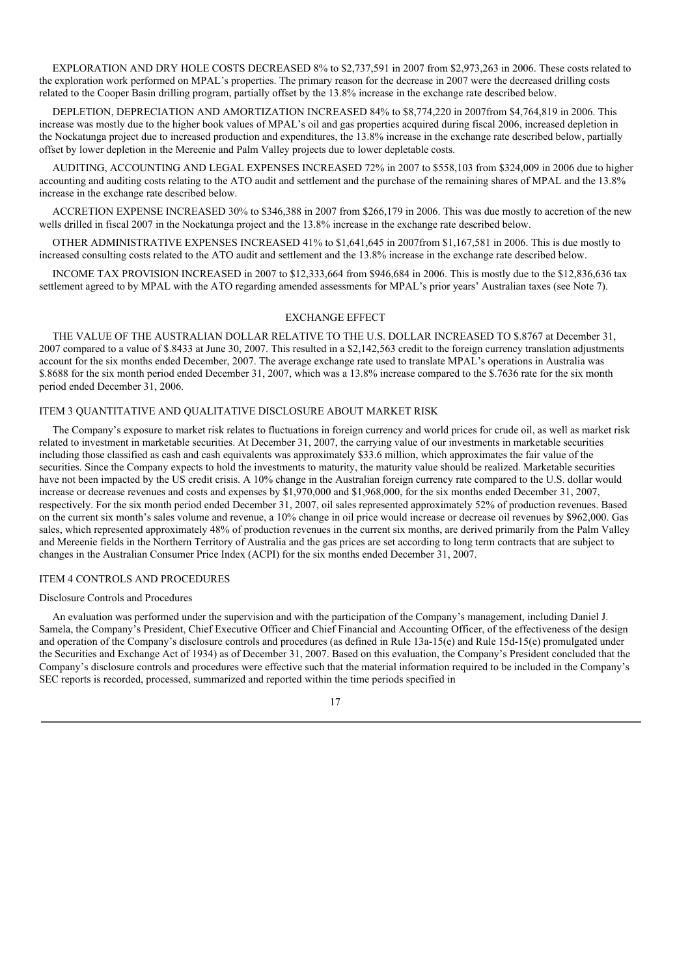EXPLORATION AND DRY HOLE COSTS DECREASED 8% to \$2,737,591 in 2007 from \$2,973,263 in 2006. These costs related to the exploration work performed on MPAL's properties. The primary reason for the decrease in 2007 were the decreased drilling costs related to the Cooper Basin drilling program, partially offset by the 13.8% increase in the exchange rate described below.

DEPLETION, DEPRECIATION AND AMORTIZATION INCREASED 84% to \$8,774,220 in 2007from \$4,764,819 in 2006. This increase was mostly due to the higher book values of MPAL's oil and gas properties acquired during fiscal 2006, increased depletion in the Nockatunga project due to increased production and expenditures, the 13.8% increase in the exchange rate described below, partially offset by lower depletion in the Mereenie and Palm Valley projects due to lower depletable costs.

AUDITING, ACCOUNTING AND LEGAL EXPENSES INCREASED 72% in 2007 to \$558,103 from \$324,009 in 2006 due to higher accounting and auditing costs relating to the ATO audit and settlement and the purchase of the remaining shares of MPAL and the 13.8% increase in the exchange rate described below.

ACCRETION EXPENSE INCREASED 30% to \$346,388 in 2007 from \$266,179 in 2006. This was due mostly to accretion of the new wells drilled in fiscal 2007 in the Nockatunga project and the 13.8% increase in the exchange rate described below.

OTHER ADMINISTRATIVE EXPENSES INCREASED 41% to \$1,641,645 in 2007from \$1,167,581 in 2006. This is due mostly to increased consulting costs related to the ATO audit and settlement and the 13.8% increase in the exchange rate described below.

INCOME TAX PROVISION INCREASED in 2007 to \$12,333,664 from \$946,684 in 2006. This is mostly due to the \$12,836,636 tax settlement agreed to by MPAL with the ATO regarding amended assessments for MPAL's prior years' Australian taxes (see Note 7).

## EXCHANGE EFFECT

THE VALUE OF THE AUSTRALIAN DOLLAR RELATIVE TO THE U.S. DOLLAR INCREASED TO \$.8767 at December 31, 2007 compared to a value of \$.8433 at June 30, 2007. This resulted in a \$2,142,563 credit to the foreign currency translation adjustments account for the six months ended December, 2007. The average exchange rate used to translate MPAL's operations in Australia was \$.8688 for the six month period ended December 31, 2007, which was a 13.8% increase compared to the \$.7636 rate for the six month period ended December 31, 2006.

# ITEM 3 QUANTITATIVE AND QUALITATIVE DISCLOSURE ABOUT MARKET RISK

The Company's exposure to market risk relates to fluctuations in foreign currency and world prices for crude oil, as well as market risk related to investment in marketable securities. At December 31, 2007, the carrying value of our investments in marketable securities including those classified as cash and cash equivalents was approximately \$33.6 million, which approximates the fair value of the securities. Since the Company expects to hold the investments to maturity, the maturity value should be realized. Marketable securities have not been impacted by the US credit crisis. A 10% change in the Australian foreign currency rate compared to the U.S. dollar would increase or decrease revenues and costs and expenses by \$1,970,000 and \$1,968,000, for the six months ended December 31, 2007, respectively. For the six month period ended December 31, 2007, oil sales represented approximately 52% of production revenues. Based on the current six month's sales volume and revenue, a 10% change in oil price would increase or decrease oil revenues by \$962,000. Gas sales, which represented approximately 48% of production revenues in the current six months, are derived primarily from the Palm Valley and Mereenie fields in the Northern Territory of Australia and the gas prices are set according to long term contracts that are subject to changes in the Australian Consumer Price Index (ACPI) for the six months ended December 31, 2007.

# ITEM 4 CONTROLS AND PROCEDURES

#### Disclosure Controls and Procedures

An evaluation was performed under the supervision and with the participation of the Company's management, including Daniel J. Samela, the Company's President, Chief Executive Officer and Chief Financial and Accounting Officer, of the effectiveness of the design and operation of the Company's disclosure controls and procedures (as defined in Rule 13a-15(e) and Rule 15d-15(e) promulgated under the Securities and Exchange Act of 1934) as of December 31, 2007. Based on this evaluation, the Company's President concluded that the Company's disclosure controls and procedures were effective such that the material information required to be included in the Company's SEC reports is recorded, processed, summarized and reported within the time periods specified in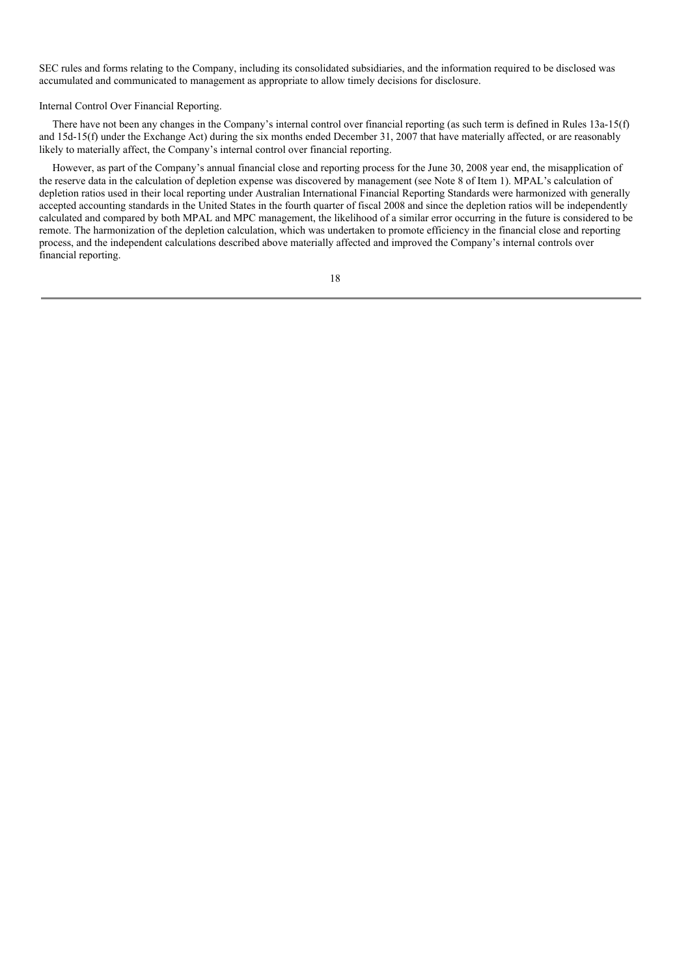SEC rules and forms relating to the Company, including its consolidated subsidiaries, and the information required to be disclosed was accumulated and communicated to management as appropriate to allow timely decisions for disclosure.

Internal Control Over Financial Reporting.

There have not been any changes in the Company's internal control over financial reporting (as such term is defined in Rules 13a-15(f) and 15d-15(f) under the Exchange Act) during the six months ended December 31, 2007 that have materially affected, or are reasonably likely to materially affect, the Company's internal control over financial reporting.

However, as part of the Company's annual financial close and reporting process for the June 30, 2008 year end, the misapplication of the reserve data in the calculation of depletion expense was discovered by management (see Note 8 of Item 1). MPAL's calculation of depletion ratios used in their local reporting under Australian International Financial Reporting Standards were harmonized with generally accepted accounting standards in the United States in the fourth quarter of fiscal 2008 and since the depletion ratios will be independently calculated and compared by both MPAL and MPC management, the likelihood of a similar error occurring in the future is considered to be remote. The harmonization of the depletion calculation, which was undertaken to promote efficiency in the financial close and reporting process, and the independent calculations described above materially affected and improved the Company's internal controls over financial reporting.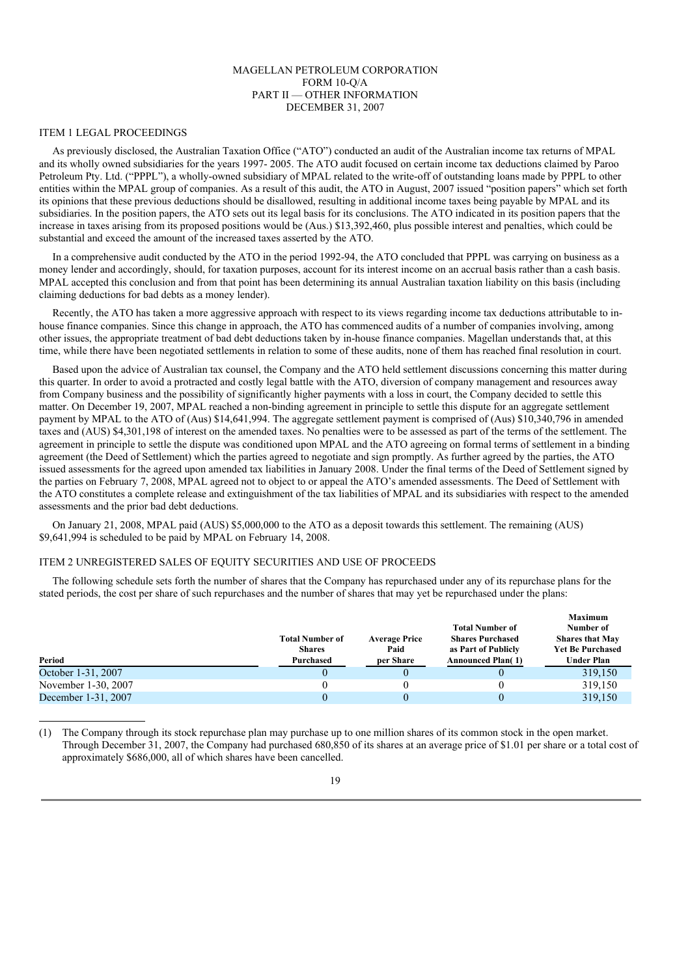# MAGELLAN PETROLEUM CORPORATION FORM 10-Q/A PART II — OTHER INFORMATION DECEMBER 31, 2007

#### ITEM 1 LEGAL PROCEEDINGS

As previously disclosed, the Australian Taxation Office ("ATO") conducted an audit of the Australian income tax returns of MPAL and its wholly owned subsidiaries for the years 1997- 2005. The ATO audit focused on certain income tax deductions claimed by Paroo Petroleum Pty. Ltd. ("PPPL"), a wholly-owned subsidiary of MPAL related to the write-off of outstanding loans made by PPPL to other entities within the MPAL group of companies. As a result of this audit, the ATO in August, 2007 issued "position papers" which set forth its opinions that these previous deductions should be disallowed, resulting in additional income taxes being payable by MPAL and its subsidiaries. In the position papers, the ATO sets out its legal basis for its conclusions. The ATO indicated in its position papers that the increase in taxes arising from its proposed positions would be (Aus.) \$13,392,460, plus possible interest and penalties, which could be substantial and exceed the amount of the increased taxes asserted by the ATO.

In a comprehensive audit conducted by the ATO in the period 1992-94, the ATO concluded that PPPL was carrying on business as a money lender and accordingly, should, for taxation purposes, account for its interest income on an accrual basis rather than a cash basis. MPAL accepted this conclusion and from that point has been determining its annual Australian taxation liability on this basis (including claiming deductions for bad debts as a money lender).

Recently, the ATO has taken a more aggressive approach with respect to its views regarding income tax deductions attributable to inhouse finance companies. Since this change in approach, the ATO has commenced audits of a number of companies involving, among other issues, the appropriate treatment of bad debt deductions taken by in-house finance companies. Magellan understands that, at this time, while there have been negotiated settlements in relation to some of these audits, none of them has reached final resolution in court.

Based upon the advice of Australian tax counsel, the Company and the ATO held settlement discussions concerning this matter during this quarter. In order to avoid a protracted and costly legal battle with the ATO, diversion of company management and resources away from Company business and the possibility of significantly higher payments with a loss in court, the Company decided to settle this matter. On December 19, 2007, MPAL reached a non-binding agreement in principle to settle this dispute for an aggregate settlement payment by MPAL to the ATO of (Aus) \$14,641,994. The aggregate settlement payment is comprised of (Aus) \$10,340,796 in amended taxes and (AUS) \$4,301,198 of interest on the amended taxes. No penalties were to be assessed as part of the terms of the settlement. The agreement in principle to settle the dispute was conditioned upon MPAL and the ATO agreeing on formal terms of settlement in a binding agreement (the Deed of Settlement) which the parties agreed to negotiate and sign promptly. As further agreed by the parties, the ATO issued assessments for the agreed upon amended tax liabilities in January 2008. Under the final terms of the Deed of Settlement signed by the parties on February 7, 2008, MPAL agreed not to object to or appeal the ATO's amended assessments. The Deed of Settlement with the ATO constitutes a complete release and extinguishment of the tax liabilities of MPAL and its subsidiaries with respect to the amended assessments and the prior bad debt deductions.

On January 21, 2008, MPAL paid (AUS) \$5,000,000 to the ATO as a deposit towards this settlement. The remaining (AUS) \$9,641,994 is scheduled to be paid by MPAL on February 14, 2008.

#### ITEM 2 UNREGISTERED SALES OF EQUITY SECURITIES AND USE OF PROCEEDS

The following schedule sets forth the number of shares that the Company has repurchased under any of its repurchase plans for the stated periods, the cost per share of such repurchases and the number of shares that may yet be repurchased under the plans:

| Period              | <b>Total Number of</b><br><b>Shares</b><br>Purchased | <b>Average Price</b><br>Paid<br>per Share | <b>Total Number of</b><br><b>Shares Purchased</b><br>as Part of Publicly<br><b>Announced Plan(1)</b> | <b>Maximum</b><br>Number of<br><b>Shares that May</b><br><b>Yet Be Purchased</b><br><b>Under Plan</b> |
|---------------------|------------------------------------------------------|-------------------------------------------|------------------------------------------------------------------------------------------------------|-------------------------------------------------------------------------------------------------------|
| October 1-31, 2007  | $\theta$                                             |                                           |                                                                                                      | 319,150                                                                                               |
| November 1-30, 2007 |                                                      |                                           |                                                                                                      | 319,150                                                                                               |
| December 1-31, 2007 |                                                      |                                           |                                                                                                      | 319,150                                                                                               |

<sup>(1)</sup> The Company through its stock repurchase plan may purchase up to one million shares of its common stock in the open market. Through December 31, 2007, the Company had purchased 680,850 of its shares at an average price of \$1.01 per share or a total cost of approximately \$686,000, all of which shares have been cancelled.

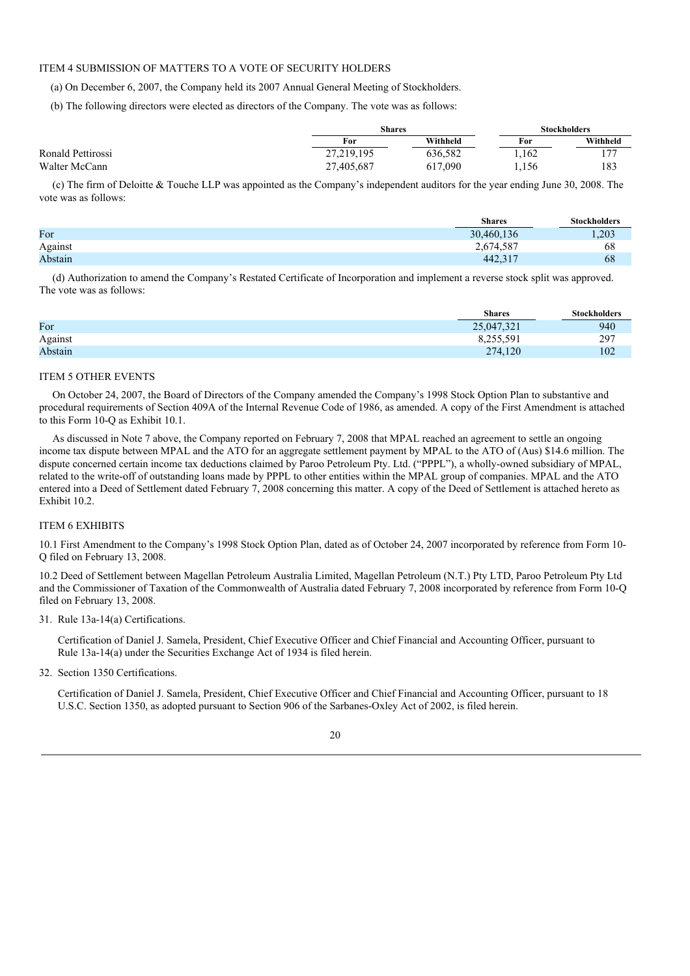# ITEM 4 SUBMISSION OF MATTERS TO A VOTE OF SECURITY HOLDERS

(a) On December 6, 2007, the Company held its 2007 Annual General Meeting of Stockholders.

(b) The following directors were elected as directors of the Company. The vote was as follows:

|                   |            | Shares   |       | <b>Stockholders</b> |  |
|-------------------|------------|----------|-------|---------------------|--|
|                   | For        | Withheld | For   | Withheld            |  |
| Ronald Pettirossi | 27,219,195 | 636.582  | 1.162 | 177                 |  |
| Walter McCann     | 27,405,687 | 617,090  | 1,156 | 183                 |  |

(c) The firm of Deloitte & Touche LLP was appointed as the Company's independent auditors for the year ending June 30, 2008. The vote was as follows:

|         | <b>Shares</b> | <b>Stockholders</b> |
|---------|---------------|---------------------|
| For     | 30,460,136    | 1,203               |
| Against | 2,674,587     | 68                  |
| Abstain | 442,317       | 68                  |

(d) Authorization to amend the Company's Restated Certificate of Incorporation and implement a reverse stock split was approved. The vote was as follows:

|         | <b>Shares</b> | <b>Stockholders</b> |
|---------|---------------|---------------------|
| For     | 25,047,321    | 940                 |
| Against | 8,255,591     | 297                 |
| Abstain | 274,120       | 102                 |

# ITEM 5 OTHER EVENTS

On October 24, 2007, the Board of Directors of the Company amended the Company's 1998 Stock Option Plan to substantive and procedural requirements of Section 409A of the Internal Revenue Code of 1986, as amended. A copy of the First Amendment is attached to this Form 10-Q as Exhibit 10.1.

As discussed in Note 7 above, the Company reported on February 7, 2008 that MPAL reached an agreement to settle an ongoing income tax dispute between MPAL and the ATO for an aggregate settlement payment by MPAL to the ATO of (Aus) \$14.6 million. The dispute concerned certain income tax deductions claimed by Paroo Petroleum Pty. Ltd. ("PPPL"), a wholly-owned subsidiary of MPAL, related to the write-off of outstanding loans made by PPPL to other entities within the MPAL group of companies. MPAL and the ATO entered into a Deed of Settlement dated February 7, 2008 concerning this matter. A copy of the Deed of Settlement is attached hereto as Exhibit 10.2.

# ITEM 6 EXHIBITS

10.1 First Amendment to the Company's 1998 Stock Option Plan, dated as of October 24, 2007 incorporated by reference from Form 10- Q filed on February 13, 2008.

10.2 Deed of Settlement between Magellan Petroleum Australia Limited, Magellan Petroleum (N.T.) Pty LTD, Paroo Petroleum Pty Ltd and the Commissioner of Taxation of the Commonwealth of Australia dated February 7, 2008 incorporated by reference from Form 10-Q filed on February 13, 2008.

#### 31. Rule 13a-14(a) Certifications.

Certification of Daniel J. Samela, President, Chief Executive Officer and Chief Financial and Accounting Officer, pursuant to Rule 13a-14(a) under the Securities Exchange Act of 1934 is filed herein.

32. Section 1350 Certifications.

Certification of Daniel J. Samela, President, Chief Executive Officer and Chief Financial and Accounting Officer, pursuant to 18 U.S.C. Section 1350, as adopted pursuant to Section 906 of the Sarbanes-Oxley Act of 2002, is filed herein.

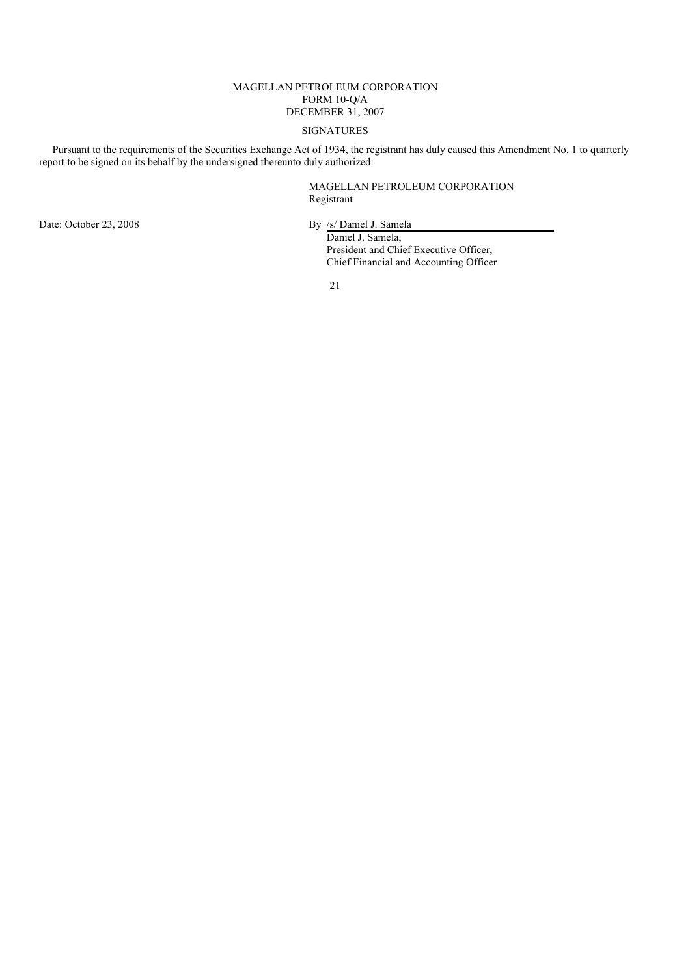# MAGELLAN PETROLEUM CORPORATION FORM 10-Q/A DECEMBER 31, 2007

# SIGNATURES

Pursuant to the requirements of the Securities Exchange Act of 1934, the registrant has duly caused this Amendment No. 1 to quarterly report to be signed on its behalf by the undersigned thereunto duly authorized:

> MAGELLAN PETROLEUM CORPORATION Registrant

Date: October 23, 2008 By /s/ Daniel J. Samela

Daniel J. Samela, President and Chief Executive Officer, Chief Financial and Accounting Officer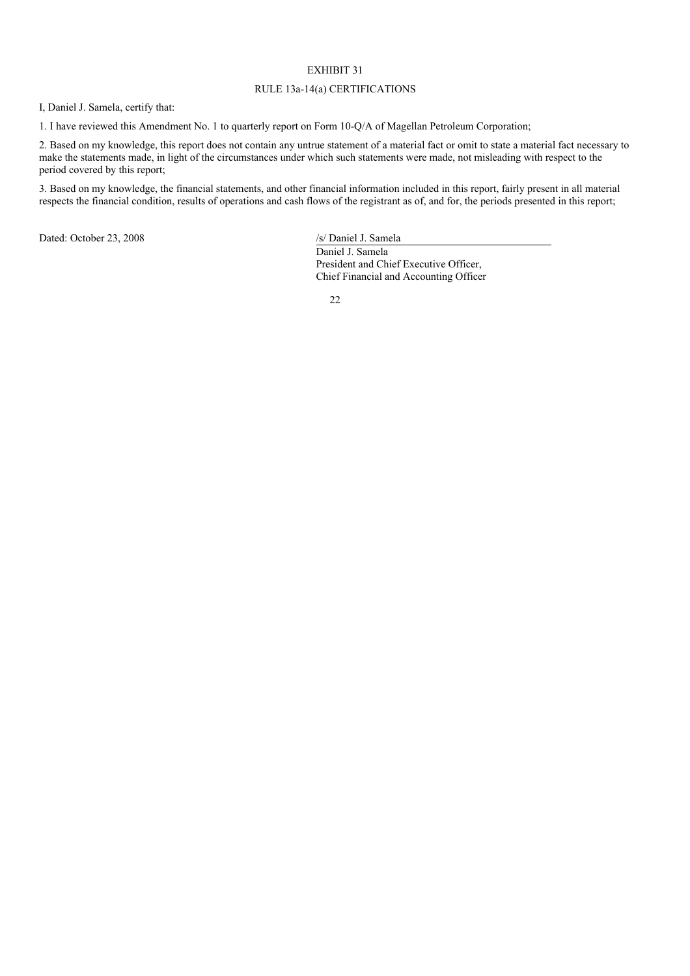# EXHIBIT 31

# RULE 13a-14(a) CERTIFICATIONS

I, Daniel J. Samela, certify that:

1. I have reviewed this Amendment No. 1 to quarterly report on Form 10-Q/A of Magellan Petroleum Corporation;

2. Based on my knowledge, this report does not contain any untrue statement of a material fact or omit to state a material fact necessary to make the statements made, in light of the circumstances under which such statements were made, not misleading with respect to the period covered by this report;

3. Based on my knowledge, the financial statements, and other financial information included in this report, fairly present in all material respects the financial condition, results of operations and cash flows of the registrant as of, and for, the periods presented in this report;

Dated: October 23, 2008 /s/ Daniel J. Samela

Daniel J. Samela President and Chief Executive Officer, Chief Financial and Accounting Officer